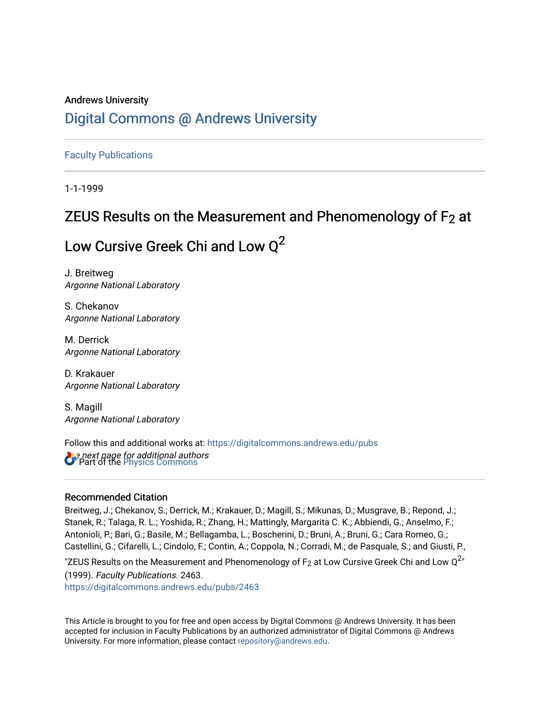# Andrews University [Digital Commons @ Andrews University](https://digitalcommons.andrews.edu/)

[Faculty Publications](https://digitalcommons.andrews.edu/pubs)

1-1-1999

# ZEUS Results on the Measurement and Phenomenology of  $F_2$  at

# Low Cursive Greek Chi and Low  $Q^2$

J. Breitweg Argonne National Laboratory

S. Chekanov Argonne National Laboratory

M. Derrick Argonne National Laboratory

D. Krakauer Argonne National Laboratory

S. Magill Argonne National Laboratory

*Oue next page for additional authors*<br>**C** Part of the [Physics Commons](http://network.bepress.com/hgg/discipline/193?utm_source=digitalcommons.andrews.edu%2Fpubs%2F2463&utm_medium=PDF&utm_campaign=PDFCoverPages) Follow this and additional works at: [https://digitalcommons.andrews.edu/pubs](https://digitalcommons.andrews.edu/pubs?utm_source=digitalcommons.andrews.edu%2Fpubs%2F2463&utm_medium=PDF&utm_campaign=PDFCoverPages) 

### Recommended Citation

Breitweg, J.; Chekanov, S.; Derrick, M.; Krakauer, D.; Magill, S.; Mikunas, D.; Musgrave, B.; Repond, J.; Stanek, R.; Talaga, R. L.; Yoshida, R.; Zhang, H.; Mattingly, Margarita C. K.; Abbiendi, G.; Anselmo, F.; Antonioli, P.; Bari, G.; Basile, M.; Bellagamba, L.; Boscherini, D.; Bruni, A.; Bruni, G.; Cara Romeo, G.; Castellini, G.; Cifarelli, L.; Cindolo, F.; Contin, A.; Coppola, N.; Corradi, M.; de Pasquale, S.; and Giusti, P.,

"ZEUS Results on the Measurement and Phenomenology of F<sub>2</sub> at Low Cursive Greek Chi and Low Q<sup>2</sup>"

(1999). Faculty Publications. 2463. [https://digitalcommons.andrews.edu/pubs/2463](https://digitalcommons.andrews.edu/pubs/2463?utm_source=digitalcommons.andrews.edu%2Fpubs%2F2463&utm_medium=PDF&utm_campaign=PDFCoverPages) 

This Article is brought to you for free and open access by Digital Commons @ Andrews University. It has been accepted for inclusion in Faculty Publications by an authorized administrator of Digital Commons @ Andrews University. For more information, please contact [repository@andrews.edu](mailto:repository@andrews.edu).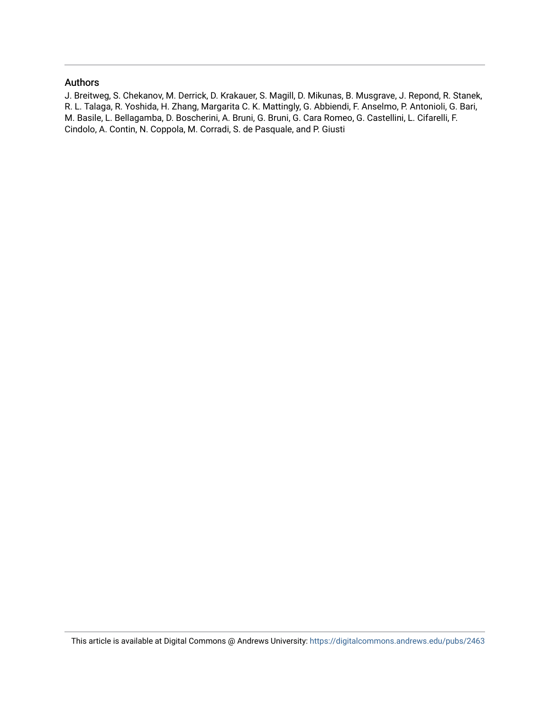#### Authors

J. Breitweg, S. Chekanov, M. Derrick, D. Krakauer, S. Magill, D. Mikunas, B. Musgrave, J. Repond, R. Stanek, R. L. Talaga, R. Yoshida, H. Zhang, Margarita C. K. Mattingly, G. Abbiendi, F. Anselmo, P. Antonioli, G. Bari, M. Basile, L. Bellagamba, D. Boscherini, A. Bruni, G. Bruni, G. Cara Romeo, G. Castellini, L. Cifarelli, F. Cindolo, A. Contin, N. Coppola, M. Corradi, S. de Pasquale, and P. Giusti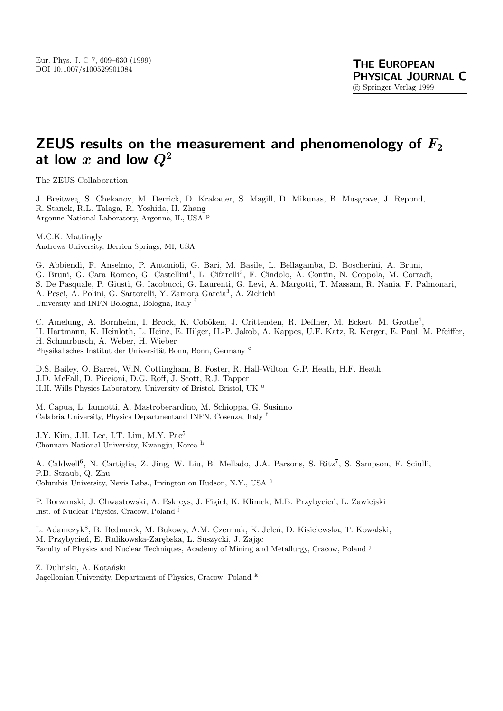# **ZEUS results on the measurement and phenomenology of** *F***<sup>2</sup>** at low  $x$  and low  $Q^2$

The ZEUS Collaboration

J. Breitweg, S. Chekanov, M. Derrick, D. Krakauer, S. Magill, D. Mikunas, B. Musgrave, J. Repond, R. Stanek, R.L. Talaga, R. Yoshida, H. Zhang Argonne National Laboratory, Argonne, IL, USA <sup>p</sup>

M.C.K. Mattingly Andrews University, Berrien Springs, MI, USA

G. Abbiendi, F. Anselmo, P. Antonioli, G. Bari, M. Basile, L. Bellagamba, D. Boscherini, A. Bruni, G. Bruni, G. Cara Romeo, G. Castellini<sup>1</sup>, L. Cifarelli<sup>2</sup>, F. Cindolo, A. Contin, N. Coppola, M. Corradi, S. De Pasquale, P. Giusti, G. Iacobucci, G. Laurenti, G. Levi, A. Margotti, T. Massam, R. Nania, F. Palmonari, A. Pesci, A. Polini, G. Sartorelli, Y. Zamora Garcia<sup>3</sup>, A. Zichichi University and INFN Bologna, Bologna, Italy <sup>f</sup>

C. Amelung, A. Bornheim, I. Brock, K. Coböken, J. Crittenden, R. Deffner, M. Eckert, M. Grothe<sup>4</sup>, H. Hartmann, K. Heinloth, L. Heinz, E. Hilger, H.-P. Jakob, A. Kappes, U.F. Katz, R. Kerger, E. Paul, M. Pfeiffer, H. Schnurbusch, A. Weber, H. Wieber Physikalisches Institut der Universität Bonn, Bonn, Germany c

D.S. Bailey, O. Barret, W.N. Cottingham, B. Foster, R. Hall-Wilton, G.P. Heath, H.F. Heath, J.D. McFall, D. Piccioni, D.G. Roff, J. Scott, R.J. Tapper H.H. Wills Physics Laboratory, University of Bristol, Bristol, UK <sup>o</sup>

M. Capua, L. Iannotti, A. Mastroberardino, M. Schioppa, G. Susinno Calabria University, Physics Departmentand INFN, Cosenza, Italy <sup>f</sup>

J.Y. Kim, J.H. Lee, I.T. Lim, M.Y. Pac<sup>5</sup> Chonnam National University, Kwangju, Korea <sup>h</sup>

A. Caldwell<sup>6</sup>, N. Cartiglia, Z. Jing, W. Liu, B. Mellado, J.A. Parsons, S. Ritz<sup>7</sup>, S. Sampson, F. Sciulli, P.B. Straub, Q. Zhu Columbia University, Nevis Labs., Irvington on Hudson, N.Y., USA <sup>q</sup>

P. Borzemski, J. Chwastowski, A. Eskreys, J. Figiel, K. Klimek, M.B. Przybycień, L. Zawiejski Inst. of Nuclear Physics, Cracow, Poland  $^{j}$ 

L. Adamczyk<sup>8</sup>, B. Bednarek, M. Bukowy, A.M. Czermak, K. Jeleń, D. Kisielewska, T. Kowalski, M. Przybycień, E. Rulikowska-Zarębska, L. Suszycki, J. Zając Faculty of Physics and Nuclear Techniques, Academy of Mining and Metallurgy, Cracow, Poland <sup>j</sup>

Z. Duliński, A. Kotański Jagellonian University, Department of Physics, Cracow, Poland <sup>k</sup>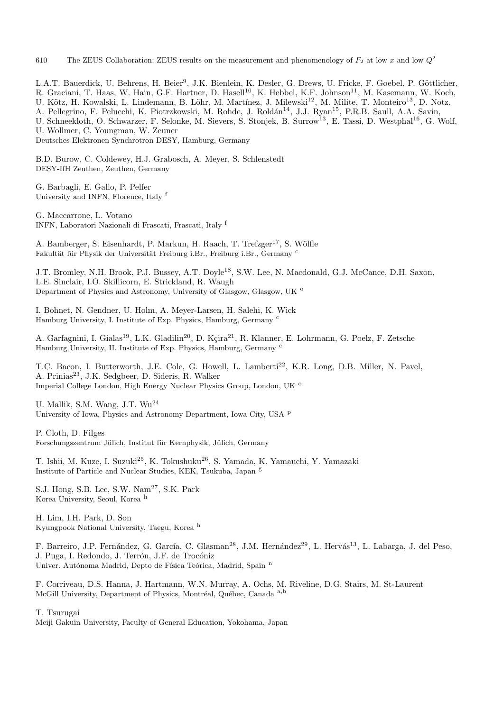610 The ZEUS Collaboration: ZEUS results on the measurement and phenomenology of  $F_2$  at low x and low  $Q^2$ 

L.A.T. Bauerdick, U. Behrens, H. Beier<sup>9</sup>, J.K. Bienlein, K. Desler, G. Drews, U. Fricke, F. Goebel, P. Göttlicher,

R. Graciani, T. Haas, W. Hain, G.F. Hartner, D. Hasell<sup>10</sup>, K. Hebbel, K.F. Johnson<sup>11</sup>, M. Kasemann, W. Koch,

U. Kötz, H. Kowalski, L. Lindemann, B. Löhr, M. Martínez, J. Milewski<sup>12</sup>, M. Milite, T. Monteiro<sup>13</sup>, D. Notz,

A. Pellegrino, F. Pelucchi, K. Piotrzkowski, M. Rohde, J. Roldán<sup>14</sup>, J.J. Ryan<sup>15</sup>, P.R.B. Saull, A.A. Savin,

U. Schneekloth, O. Schwarzer, F. Selonke, M. Sievers, S. Stonjek, B. Surrow<sup>13</sup>, E. Tassi, D. Westphal<sup>16</sup>, G. Wolf,

U. Wollmer, C. Youngman, W. Zeuner

Deutsches Elektronen-Synchrotron DESY, Hamburg, Germany

B.D. Burow, C. Coldewey, H.J. Grabosch, A. Meyer, S. Schlenstedt DESY-IfH Zeuthen, Zeuthen, Germany

G. Barbagli, E. Gallo, P. Pelfer University and INFN, Florence, Italy <sup>f</sup>

G. Maccarrone, L. Votano INFN, Laboratori Nazionali di Frascati, Frascati, Italy <sup>f</sup>

A. Bamberger, S. Eisenhardt, P. Markun, H. Raach, T. Trefzger<sup>17</sup>, S. Wölfle Fakultät für Physik der Universität Freiburg i.Br., Freiburg i.Br., Germany <sup>c</sup>

J.T. Bromley, N.H. Brook, P.J. Bussey, A.T. Doyle<sup>18</sup>, S.W. Lee, N. Macdonald, G.J. McCance, D.H. Saxon, L.E. Sinclair, I.O. Skillicorn, E. Strickland, R. Waugh Department of Physics and Astronomy, University of Glasgow, Glasgow, UK <sup>o</sup>

I. Bohnet, N. Gendner, U. Holm, A. Meyer-Larsen, H. Salehi, K. Wick Hamburg University, I. Institute of Exp. Physics, Hamburg, Germany <sup>c</sup>

A. Garfagnini, I. Gialas<sup>19</sup>, L.K. Gladilin<sup>20</sup>, D. Kçira<sup>21</sup>, R. Klanner, E. Lohrmann, G. Poelz, F. Zetsche Hamburg University, II. Institute of Exp. Physics, Hamburg, Germany <sup>c</sup>

T.C. Bacon, I. Butterworth, J.E. Cole, G. Howell, L. Lamberti<sup>22</sup>, K.R. Long, D.B. Miller, N. Pavel, A. Prinias<sup>23</sup>, J.K. Sedgbeer, D. Sideris, R. Walker Imperial College London, High Energy Nuclear Physics Group, London, UK <sup>o</sup>

U. Mallik, S.M. Wang, J.T. Wu<sup>24</sup> University of Iowa, Physics and Astronomy Department, Iowa City, USA <sup>p</sup>

P. Cloth, D. Filges Forschungszentrum Jülich, Institut für Kernphysik, Jülich, Germany

T. Ishii, M. Kuze, I. Suzuki<sup>25</sup>, K. Tokushuku<sup>26</sup>, S. Yamada, K. Yamauchi, Y. Yamazaki Institute of Particle and Nuclear Studies, KEK, Tsukuba, Japan <sup>g</sup>

S.J. Hong, S.B. Lee, S.W. Nam<sup>27</sup>, S.K. Park Korea University, Seoul, Korea <sup>h</sup>

H. Lim, I.H. Park, D. Son Kyungpook National University, Taegu, Korea <sup>h</sup>

F. Barreiro, J.P. Fernández, G. García, C. Glasman<sup>28</sup>, J.M. Hernández<sup>29</sup>, L. Hervás<sup>13</sup>, L. Labarga, J. del Peso, J. Puga, I. Redondo, J. Terrón, J.F. de Trocóniz Univer. Autónoma Madrid, Depto de Física Teórica, Madrid, Spain n

F. Corriveau, D.S. Hanna, J. Hartmann, W.N. Murray, A. Ochs, M. Riveline, D.G. Stairs, M. St-Laurent McGill University, Department of Physics, Montréal, Québec, Canada a,b

T. Tsurugai

Meiji Gakuin University, Faculty of General Education, Yokohama, Japan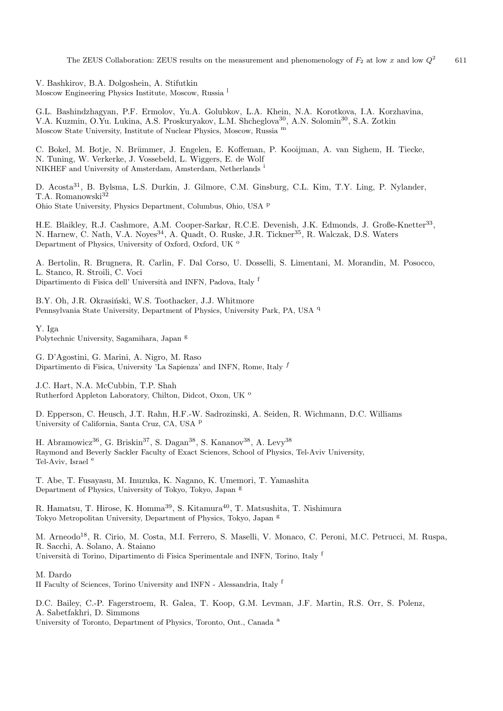The ZEUS Collaboration: ZEUS results on the measurement and phenomenology of  $F_2$  at low x and low  $Q^2$  611

V. Bashkirov, B.A. Dolgoshein, A. Stifutkin Moscow Engineering Physics Institute, Moscow, Russia <sup>l</sup>

G.L. Bashindzhagyan, P.F. Ermolov, Yu.A. Golubkov, L.A. Khein, N.A. Korotkova, I.A. Korzhavina, V.A. Kuzmin, O.Yu. Lukina, A.S. Proskuryakov, L.M. Shcheglova<sup>30</sup>, A.N. Solomin<sup>30</sup>, S.A. Zotkin Moscow State University, Institute of Nuclear Physics, Moscow, Russia <sup>m</sup>

C. Bokel, M. Botje, N. Brümmer, J. Engelen, E. Koffeman, P. Kooijman, A. van Sighem, H. Tiecke, N. Tuning, W. Verkerke, J. Vossebeld, L. Wiggers, E. de Wolf NIKHEF and University of Amsterdam, Amsterdam, Netherlands <sup>i</sup>

D. Acosta<sup>31</sup>, B. Bylsma, L.S. Durkin, J. Gilmore, C.M. Ginsburg, C.L. Kim, T.Y. Ling, P. Nylander, T.A. Romanowski<sup>32</sup> Ohio State University, Physics Department, Columbus, Ohio, USA <sup>p</sup>

H.E. Blaikley, R.J. Cashmore, A.M. Cooper-Sarkar, R.C.E. Devenish, J.K. Edmonds, J. Große-Knetter<sup>33</sup>, N. Harnew, C. Nath, V.A. Noyes<sup>34</sup>, A. Quadt, O. Ruske, J.R. Tickner<sup>35</sup>, R. Walczak, D.S. Waters Department of Physics, University of Oxford, Oxford, UK <sup>o</sup>

A. Bertolin, R. Brugnera, R. Carlin, F. Dal Corso, U. Dosselli, S. Limentani, M. Morandin, M. Posocco, L. Stanco, R. Stroili, C. Voci Dipartimento di Fisica dell' Università and INFN, Padova, Italy f

B.Y. Oh, J.R. Okrasiński, W.S. Toothacker, J.J. Whitmore Pennsylvania State University, Department of Physics, University Park, PA, USA <sup>q</sup>

Y. Iga Polytechnic University, Sagamihara, Japan <sup>g</sup>

G. D'Agostini, G. Marini, A. Nigro, M. Raso Dipartimento di Fisica, University 'La Sapienza' and INFN, Rome, Italy $^f$ 

J.C. Hart, N.A. McCubbin, T.P. Shah Rutherford Appleton Laboratory, Chilton, Didcot, Oxon, UK<sup>o</sup>

D. Epperson, C. Heusch, J.T. Rahn, H.F.-W. Sadrozinski, A. Seiden, R. Wichmann, D.C. Williams University of California, Santa Cruz, CA, USA <sup>p</sup>

H. Abramowicz<sup>36</sup>, G. Briskin<sup>37</sup>, S. Dagan<sup>38</sup>, S. Kananov<sup>38</sup>, A. Levy<sup>38</sup> Raymond and Beverly Sackler Faculty of Exact Sciences, School of Physics, Tel-Aviv University, Tel-Aviv, Israel <sup>e</sup>

T. Abe, T. Fusayasu, M. Inuzuka, K. Nagano, K. Umemori, T. Yamashita Department of Physics, University of Tokyo, Tokyo, Japan <sup>g</sup>

R. Hamatsu, T. Hirose, K. Homma<sup>39</sup>, S. Kitamura<sup>40</sup>, T. Matsushita, T. Nishimura Tokyo Metropolitan University, Department of Physics, Tokyo, Japan <sup>g</sup>

M. Arneodo<sup>18</sup>, R. Cirio, M. Costa, M.I. Ferrero, S. Maselli, V. Monaco, C. Peroni, M.C. Petrucci, M. Ruspa, R. Sacchi, A. Solano, A. Staiano Università di Torino, Dipartimento di Fisica Sperimentale and INFN, Torino, Italy f

M. Dardo

II Faculty of Sciences, Torino University and INFN - Alessandria, Italy <sup>f</sup>

D.C. Bailey, C.-P. Fagerstroem, R. Galea, T. Koop, G.M. Levman, J.F. Martin, R.S. Orr, S. Polenz, A. Sabetfakhri, D. Simmons University of Toronto, Department of Physics, Toronto, Ont., Canada <sup>a</sup>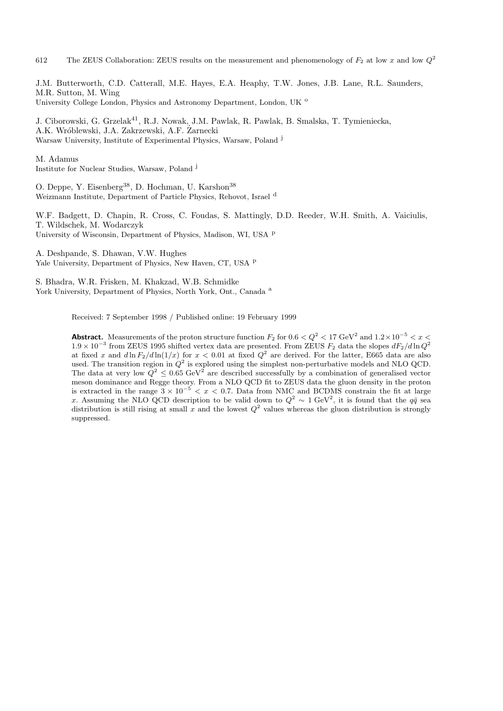612 The ZEUS Collaboration: ZEUS results on the measurement and phenomenology of  $F_2$  at low x and low  $Q^2$ 

J.M. Butterworth, C.D. Catterall, M.E. Hayes, E.A. Heaphy, T.W. Jones, J.B. Lane, R.L. Saunders, M.R. Sutton, M. Wing University College London, Physics and Astronomy Department, London, UK <sup>o</sup>

J. Ciborowski, G. Grzelak<sup>41</sup>, R.J. Nowak, J.M. Pawlak, R. Pawlak, B. Smalska, T. Tymieniecka, A.K. Wróblewski, J.A. Zakrzewski, A.F. Zarnecki Warsaw University, Institute of Experimental Physics, Warsaw, Poland <sup>j</sup>

M. Adamus Institute for Nuclear Studies, Warsaw, Poland <sup>j</sup>

O. Deppe, Y. Eisenberg<sup>38</sup>, D. Hochman, U. Karshon<sup>38</sup> Weizmann Institute, Department of Particle Physics, Rehovot, Israel <sup>d</sup>

W.F. Badgett, D. Chapin, R. Cross, C. Foudas, S. Mattingly, D.D. Reeder, W.H. Smith, A. Vaiciulis, T. Wildschek, M. Wodarczyk University of Wisconsin, Department of Physics, Madison, WI, USA <sup>p</sup>

A. Deshpande, S. Dhawan, V.W. Hughes Yale University, Department of Physics, New Haven, CT, USA P

S. Bhadra, W.R. Frisken, M. Khakzad, W.B. Schmidke York University, Department of Physics, North York, Ont., Canada<sup>a</sup>

Received: 7 September 1998 / Published online: 19 February 1999

**Abstract.** Measurements of the proton structure function  $F_2$  for  $0.6 < Q^2 < 17$  GeV<sup>2</sup> and  $1.2 \times 10^{-5} < x <$  $1.9 \times 10^{-3}$  from ZEUS 1995 shifted vertex data are presented. From ZEUS  $F_2$  data the slopes  $dF_2/d \ln Q^2$ at fixed x and  $d\ln F_2/d\ln(1/x)$  for  $x < 0.01$  at fixed  $Q^2$  are derived. For the latter, E665 data are also used. The transition region in  $\hat{Q}^2$  is explored using the simplest non-perturbative models and NLO QCD. The data at very low  $\ddot{Q}^2 \leq 0.65 \text{ GeV}^2$  are described successfully by a combination of generalised vector meson dominance and Regge theory. From a NLO QCD fit to ZEUS data the gluon density in the proton is extracted in the range  $3 \times 10^{-5} < x < 0.7$ . Data from NMC and BCDMS constrain the fit at large x. Assuming the NLO QCD description to be valid down to  $Q^2 \sim 1 \text{ GeV}^2$ , it is found that the  $q\bar{q}$  sea distribution is still rising at small x and the lowest  $Q^2$  values whereas the gluon distribution is strongly suppressed.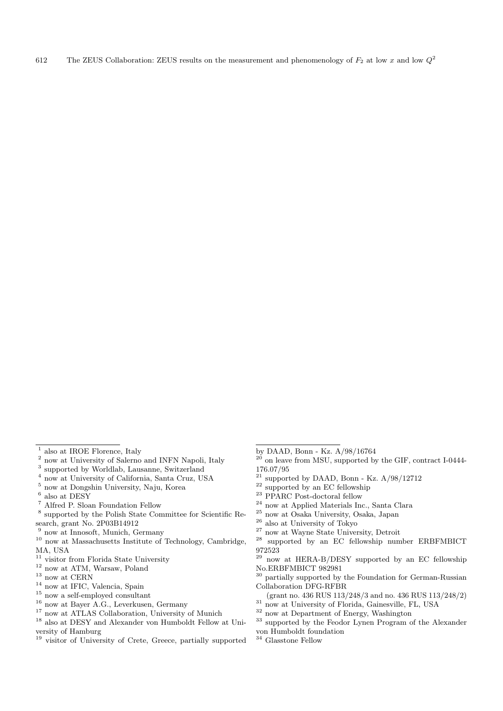- $^1$ also at IROE Florence, Italy $^2$ now at University of Salerno and INFN Napoli, Italy $^3$ supported by Worldlab, Lausanne, Switzerland $^4$ now at University of California, Santa Cruz, USA $^5$ now at Dongshin University, Na
- 
- 
- 
- 
- 
- search, grant No. 2P03B14912
- 
- $\frac{9}{10}$  now at Innosoft, Munich, Germany  $\frac{10}{10}$  now at Massachusetts Institute of Technology, Cambridge, MA, USA
- 
- 
- 
- 
- 
- 
- 
- $^{12}$  now at ATM, Warsaw, Poland  $^{13}$  now at CERN  $^{14}$  now at IFIC, Valencia, Spain  $^{15}$  now a self-employed consultant  $^{16}$  now at Bayer A.G., Leverkusen, Germany  $^{17}$  now at ATLAS Collaboration, University of versity of Hamburg
- <sup>19</sup> visitor of University of Crete, Greece, partially supported
- by DAAD, Bonn Kz. A/98/16764
- $20$  on leave from MSU, supported by the GIF, contract I-0444-176.07/95<br><sup>21</sup> supported by DAAD, Bonn - Kz. A/98/12712
- 
- 
- 
- 
- 
- 
- 
- $^{22}$  supported by an EC fellowship<br> $^{23}$  PPARC Post-doctoral fellow<br> $^{24}$  now at Applied Materials Inc., Santa Clara<br> $^{25}$  now at Osaka University, Osaka, Japan<br> $^{26}$  also at University of Tokyo<br> $^{27}$  now at Wayne 972523
- now at HERA-B/DESY supported by an EC fellowship No.ERBFMBICT 982981
- <sup>30</sup> partially supported by the Foundation for German-Russian Collaboration DFG-RFBR
- 
- 
- 
- % (grant no. 436 RUS 113/248/3 and no. 436 RUS 113/248/2) 31 now at University of Florida, Gainesville, FL, USA  $^{32}$  now at Department of Energy, Washington  $^{33}$  supported by the Feodor Lynen Program of the Alexander von Humboldt foundation
- $^{34}$  Glasstone Fellow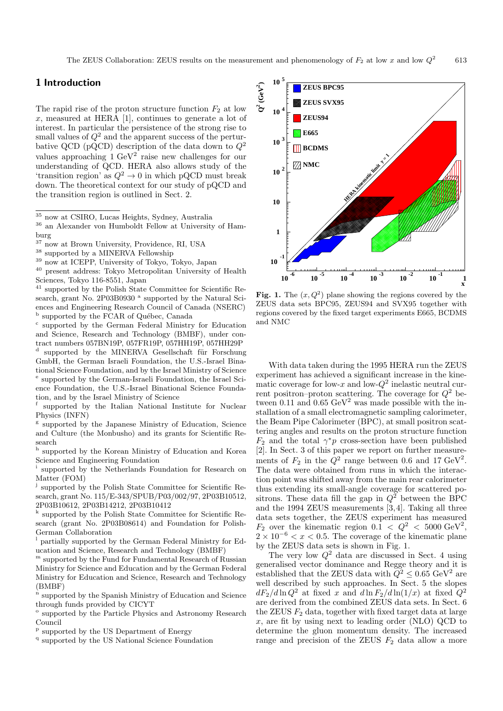#### **1 Introduction**

The rapid rise of the proton structure function  $F_2$  at low  $x$ , measured at HERA [1], continues to generate a lot of interest. In particular the persistence of the strong rise to small values of  $Q^2$  and the apparent success of the perturbative QCD (pQCD) description of the data down to  $Q^2$ values approaching  $1 \text{ GeV}^2$  raise new challenges for our understanding of QCD. HERA also allows study of the 'transition region' as  $Q^2 \to 0$  in which pQCD must break down. The theoretical context for our study of pQCD and the transition region is outlined in Sect. 2.

 $^{38}$  supported by a MINERVA Fellowship  $^{39}$  now at ICEPP, University of Tokyo, Tokyo, Japan  $^{40}$  present address: Tokyo Metropolitan University of Health Sciences, Tokyo 116-8551, Japan

<sup>41</sup> supported by the Polish State Committee for Scientific Research, grant No. 2P03B0930<sup>a</sup> supported by the Natural Sciences and Engineering Research Council of Canada (NSERC) $^{\rm b}$  supported by the FCAR of Québec, Canada

 $\cdot$  supported by the German Federal Ministry for Education and Science, Research and Technology (BMBF), under contract numbers 057BN19P, 057FR19P, 057HH19P, 057HH29P supported by the MINERVA Gesellschaft für Forschung GmbH, the German Israeli Foundation, the U.S.-Israel Binational Science Foundation, and by the Israel Ministry of Science supported by the German-Israeli Foundation, the Israel Science Foundation, the U.S.-Israel Binational Science Foundation, and by the Israel Ministry of Science

supported by the Italian National Institute for Nuclear Physics (INFN)

<sup>g</sup> supported by the Japanese Ministry of Education, Science and Culture (the Monbusho) and its grants for Scientific Research<br> $h$ <sub>cupr</sub>

supported by the Korean Ministry of Education and Korea Science and Engineering Foundation

supported by the Netherlands Foundation for Research on Matter (FOM)

supported by the Polish State Committee for Scientific Research, grant No. 115/E-343/SPUB/P03/002/97, 2P03B10512, 2P03B10612, 2P03B14212, 2P03B10412

 $^{\rm k}$  supported by the Polish State Committee for Scientific Research (grant No. 2P03B08614) and Foundation for Polish-German Collaboration

partially supported by the German Federal Ministry for Education and Science, Research and Technology (BMBF)

<sup>m</sup> supported by the Fund for Fundamental Research of Russian Ministry for Science and Education and by the German Federal Ministry for Education and Science, Research and Technology (BMBF)

<sup>n</sup> supported by the Spanish Ministry of Education and Science through funds provided by CICYT

<sup>o</sup> supported by the Particle Physics and Astronomy Research Council

 $^{\text{p}}$  supported by the US National Science Foundation  $^{\text{q}}$  supported by the US National Science Foundation



**Fig. 1.** The  $(x, Q^2)$  plane showing the regions covered by the ZEUS data sets BPC95, ZEUS94 and SVX95 together with regions covered by the fixed target experiments E665, BCDMS and NMC

With data taken during the 1995 HERA run the ZEUS experiment has achieved a significant increase in the kinematic coverage for low-x and low- $Q^2$  inelastic neutral current positron–proton scattering. The coverage for  $Q^2$  between 0.11 and 0.65  $\text{GeV}^2$  was made possible with the installation of a small electromagnetic sampling calorimeter, the Beam Pipe Calorimeter (BPC), at small positron scattering angles and results on the proton structure function  $F_2$  and the total  $\gamma^* p$  cross-section have been published [2]. In Sect. 3 of this paper we report on further measurements of  $F_2$  in the  $Q^2$  range between 0.6 and 17 GeV<sup>2</sup>. The data were obtained from runs in which the interaction point was shifted away from the main rear calorimeter thus extending its small-angle coverage for scattered positrons. These data fill the gap in  $Q^2$  between the BPC and the 1994 ZEUS measurements [3, 4]. Taking all three data sets together, the ZEUS experiment has measured  $F_2$  over the kinematic region  $0.1 < Q^2 < 5000 \text{ GeV}^2$ ,  $2 \times 10^{-6} < x < 0.5$ . The coverage of the kinematic plane by the ZEUS data sets is shown in Fig. 1.

The very low  $Q^2$  data are discussed in Sect. 4 using generalised vector dominance and Regge theory and it is established that the ZEUS data with  $Q^2 \leq 0.65 \text{ GeV}^2$  are well described by such approaches. In Sect. 5 the slopes  $dF_2/d\ln Q^2$  at fixed x and  $d\ln F_2/d\ln(1/x)$  at fixed  $Q^2$ are derived from the combined ZEUS data sets. In Sect. 6 the ZEUS  $F_2$  data, together with fixed target data at large x, are fit by using next to leading order (NLO) QCD to determine the gluon momentum density. The increased range and precision of the ZEUS  $F_2$  data allow a more

 $^{\overline{35}}$ now at CSIRO, Lucas Heights, Sydney, Australia $^{\overline{36}}$ an Alexander von Humboldt Fellow at University of Hamburg $^{\rm 37}$ now at Brown University, Providence, RI, USA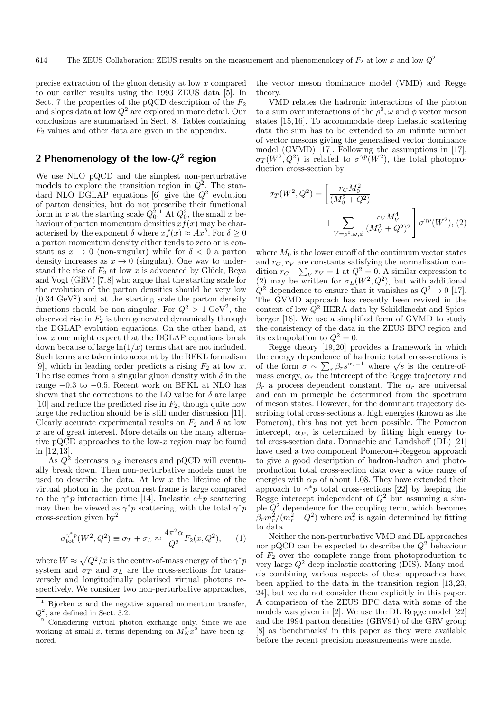precise extraction of the gluon density at low x compared to our earlier results using the 1993 ZEUS data [5]. In Sect. 7 the properties of the pQCD description of the  $F_2$ and slopes data at low  $Q^2$  are explored in more detail. Our conclusions are summarised in Sect. 8. Tables containing  $F_2$  values and other data are given in the appendix.

# **2 Phenomenology of the low-***Q***<sup>2</sup> region**

We use NLO pQCD and the simplest non-perturbative models to explore the transition region in  $Q^2$ . The standard NLO DGLAP equations [6] give the  $Q^2$  evolution of parton densities, but do not prescribe their functional form in x at the starting scale  $Q_0^2$ .<sup>1</sup> At  $Q_0^2$ , the small x behaviour of parton momentum densities  $x f(x)$  may be characterised by the exponent  $\delta$  where  $xf(x) \approx Ax^{\delta}$ . For  $\delta \geq 0$ a parton momentum density either tends to zero or is constant as  $x \to 0$  (non-singular) while for  $\delta < 0$  a parton density increases as  $x \to 0$  (singular). One way to understand the rise of  $F_2$  at low x is advocated by Glück, Reya and Vogt (GRV) [7, 8] who argue that the starting scale for the evolution of the parton densities should be very low  $(0.34 \text{ GeV}^2)$  and at the starting scale the parton density functions should be non-singular. For  $Q^2 > 1 \text{ GeV}^2$ , the observed rise in  $F_2$  is then generated dynamically through the DGLAP evolution equations. On the other hand, at low x one might expect that the DGLAP equations break down because of large  $ln(1/x)$  terms that are not included. Such terms are taken into account by the BFKL formalism [9], which in leading order predicts a rising  $F_2$  at low x. The rise comes from a singular gluon density with  $\delta$  in the range −0.3 to −0.5. Recent work on BFKL at NLO has shown that the corrections to the LO value for  $\delta$  are large [10] and reduce the predicted rise in  $F_2$ , though quite how large the reduction should be is still under discussion [11]. Clearly accurate experimental results on  $F_2$  and  $\delta$  at low  $x$  are of great interest. More details on the many alternative pQCD approaches to the low- $x$  region may be found in [12, 13].

As  $Q^2$  decreases  $\alpha_S$  increases and pQCD will eventually break down. Then non-perturbative models must be used to describe the data. At low  $x$  the lifetime of the virtual photon in the proton rest frame is large compared to the  $\gamma^* p$  interaction time [14]. Inelastic  $e^{\pm} p$  scattering may then be viewed as  $\gamma^*p$  scattering, with the total  $\gamma^*p$ cross-section given  $by<sup>2</sup>$ 

$$
\sigma_{\text{tot}}^{\gamma^* p}(W^2, Q^2) \equiv \sigma_T + \sigma_L \approx \frac{4\pi^2 \alpha}{Q^2} F_2(x, Q^2), \qquad (1)
$$

where  $W \approx \sqrt{Q^2/x}$  is the centre-of-mass energy of the  $\gamma^*p$ system and  $\sigma_T$  and  $\sigma_L$  are the cross-sections for transversely and longitudinally polarised virtual photons respectively. We consider two non-perturbative approaches, the vector meson dominance model (VMD) and Regge theory.

VMD relates the hadronic interactions of the photon to a sum over interactions of the  $\rho^0$ ,  $\omega$  and  $\phi$  vector meson states [15, 16]. To accommodate deep inelastic scattering data the sum has to be extended to an infinite number of vector mesons giving the generalised vector dominance model (GVMD) [17]. Following the assumptions in [17],  $\sigma_T(W^2,Q^2)$  is related to  $\sigma^{\gamma p}(W^2)$ , the total photoproduction cross-section by

$$
\sigma_T(W^2, Q^2) = \left[ \frac{r_C M_0^2}{(M_0^2 + Q^2)} + \sum_{V = \rho^0, \omega, \phi} \frac{r_V M_V^4}{(M_V^2 + Q^2)^2} \right] \sigma^{\gamma p}(W^2), (2)
$$

where  $M_0$  is the lower cutoff of the continuum vector states and  $r<sub>C</sub>, r<sub>V</sub>$  are constants satisfying the normalisation condition  $r_C + \sum_V r_V = 1$  at  $Q^2 = 0$ . A similar expression to (2) may be written for  $\sigma_L(W^2, Q^2)$ , but with additional  $Q^2$  dependence to ensure that it vanishes as  $Q^2 \rightarrow 0$  [17]. The GVMD approach has recently been revived in the context of low- $Q^2$  HERA data by Schildknecht and Spiesberger [18]. We use a simplified form of GVMD to study the consistency of the data in the ZEUS BPC region and its extrapolation to  $Q^2 = 0$ .

Regge theory [19, 20] provides a framework in which the energy dependence of hadronic total cross-sections is of the form  $\sigma \sim \sum_{r} \beta_r s^{\alpha_r-1}$  where  $\sqrt{s}$  is the centre-ofmass energy,  $\alpha_r$  the intercept of the Regge trajectory and  $\beta_r$  a process dependent constant. The  $\alpha_r$  are universal and can in principle be determined from the spectrum of meson states. However, for the dominant trajectory describing total cross-sections at high energies (known as the Pomeron), this has not yet been possible. The Pomeron intercept,  $\alpha_P$ , is determined by fitting high energy total cross-section data. Donnachie and Landshoff (DL) [21] have used a two component Pomeron+Reggeon approach to give a good description of hadron-hadron and photoproduction total cross-section data over a wide range of energies with  $\alpha_P$  of about 1.08. They have extended their approach to  $\gamma^*p$  total cross-sections [22] by keeping the Regge intercept independent of  $Q^2$  but assuming a simple  $Q^2$  dependence for the coupling term, which becomes  $\beta_r m_r^2/(m_r^2+Q^2)$  where  $m_r^2$  is again determined by fitting to data.

Neither the non-perturbative VMD and DL approaches nor pQCD can be expected to describe the  $Q^2$  behaviour of  $F_2$  over the complete range from photoproduction to very large  $Q^2$  deep inelastic scattering (DIS). Many models combining various aspects of these approaches have been applied to the data in the transition region [13, 23, 24], but we do not consider them explicitly in this paper. A comparison of the ZEUS BPC data with some of the models was given in [2]. We use the DL Regge model [22] and the 1994 parton densities (GRV94) of the GRV group [8] as 'benchmarks' in this paper as they were available before the recent precision measurements were made.

 $^{\rm 1}$  Bjorken  $x$  and the negative squared momentum transfer,  $Q^2$ , are defined in Sect. 3.2.

<sup>&</sup>lt;sup>2</sup> Considering virtual photon exchange only. Since we are working at small x, terms depending on  $M_N^2 x^2$  have been ignored.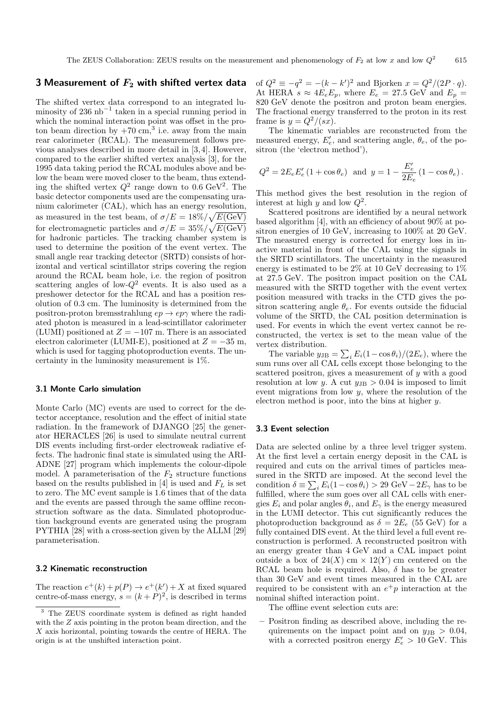## **3 Measurement of** *F***<sup>2</sup> with shifted vertex data**

The shifted vertex data correspond to an integrated luminosity of 236 nb<sup>-1</sup> taken in a special running period in which the nominal interaction point was offset in the proton beam direction by  $+70 \text{ cm}^3$ , i.e. away from the main rear calorimeter (RCAL). The measurement follows previous analyses described in more detail in [3, 4]. However, compared to the earlier shifted vertex analysis [3], for the 1995 data taking period the RCAL modules above and below the beam were moved closer to the beam, thus extending the shifted vertex  $Q^2$  range down to 0.6 GeV<sup>2</sup>. The basic detector components used are the compensating uranium calorimeter (CAL), which has an energy resolution, as measured in the test beam, of  $\sigma/E = 18\% / \sqrt{E(\text{GeV})}$ for electromagnetic particles and  $\sigma/E = 35\% / \sqrt{E(\text{GeV})}$ for hadronic particles. The tracking chamber system is used to determine the position of the event vertex. The small angle rear tracking detector (SRTD) consists of horizontal and vertical scintillator strips covering the region around the RCAL beam hole, i.e. the region of positron scattering angles of low- $Q^2$  events. It is also used as a preshower detector for the RCAL and has a position resolution of 0.3 cm. The luminosity is determined from the positron-proton bremsstrahlung  $ep \rightarrow ep\gamma$  where the radiated photon is measured in a lead-scintillator calorimeter (LUMI) positioned at  $Z = -107$  m. There is an associated electron calorimeter (LUMI-E), positioned at  $Z = -35$  m, which is used for tagging photoproduction events. The uncertainty in the luminosity measurement is 1%.

#### **3.1 Monte Carlo simulation**

Monte Carlo (MC) events are used to correct for the detector acceptance, resolution and the effect of initial state radiation. In the framework of DJANGO [25] the generator HERACLES [26] is used to simulate neutral current DIS events including first-order electroweak radiative effects. The hadronic final state is simulated using the ARI-ADNE [27] program which implements the colour-dipole model. A parameterisation of the  $F_2$  structure functions based on the results published in [4] is used and  $F<sub>L</sub>$  is set to zero. The MC event sample is 1.6 times that of the data and the events are passed through the same offline reconstruction software as the data. Simulated photoproduction background events are generated using the program PYTHIA [28] with a cross-section given by the ALLM [29] parameterisation.

#### **3.2 Kinematic reconstruction**

The reaction  $e^+(k) + p(P) \rightarrow e^+(k') + X$  at fixed squared centre-of-mass energy,  $s = (k + P)^2$ , is described in terms

of  $Q^2 \equiv -q^2 = -(k - k')^2$  and Bjorken  $x = Q^2/(2P \cdot q)$ . At HERA  $s \approx 4E_e E_p$ , where  $E_e = 27.5$  GeV and  $E_p = 820$  GeV denote the positron and proton beam energies. The fractional energy transferred to the proton in its rest frame is  $y = Q^2/(sx)$ .

The kinematic variables are reconstructed from the measured energy,  $E'_e$ , and scattering angle,  $\theta_e$ , of the positron (the 'electron method'),

$$
Q^2 = 2E_e E'_e (1 + \cos \theta_e)
$$
 and  $y = 1 - \frac{E'_e}{2E_e} (1 - \cos \theta_e)$ .

This method gives the best resolution in the region of interest at high y and low  $Q^2$ .

Scattered positrons are identified by a neural network based algorithm [4], with an efficiency of about 90% at positron energies of 10 GeV, increasing to 100% at 20 GeV. The measured energy is corrected for energy loss in inactive material in front of the CAL using the signals in the SRTD scintillators. The uncertainty in the measured energy is estimated to be 2% at 10 GeV decreasing to 1% at 27.5 GeV. The positron impact position on the CAL measured with the SRTD together with the event vertex position measured with tracks in the CTD gives the positron scattering angle  $\theta_e$ . For events outside the fiducial volume of the SRTD, the CAL position determination is used. For events in which the event vertex cannot be reconstructed, the vertex is set to the mean value of the vertex distribution.

The variable  $y_{\text{JB}} = \sum_{i} E_i(1 - \cos \theta_i)/(2E_e)$ , where the sum runs over all CAL cells except those belonging to the scattered positron, gives a measurement of y with a good resolution at low y. A cut  $y_{\text{JB}} > 0.04$  is imposed to limit event migrations from low y, where the resolution of the electron method is poor, into the bins at higher y.

#### **3.3 Event selection**

Data are selected online by a three level trigger system. At the first level a certain energy deposit in the CAL is required and cuts on the arrival times of particles measured in the SRTD are imposed. At the second level the condition  $\delta \equiv \sum_i E_i(1-\cos\theta_i) > 29 \text{ GeV} - 2E_\gamma$  has to be fulfilled, where the sum goes over all CAL cells with energies  $E_i$  and polar angles  $\theta_i$ , and  $E_\gamma$  is the energy measured in the LUMI detector. This cut significantly reduces the photoproduction background as  $\delta = 2E_e$  (55 GeV) for a fully contained DIS event. At the third level a full event reconstruction is performed. A reconstructed positron with an energy greater than 4 GeV and a CAL impact point outside a box of  $24(X)$  cm  $\times$  12(Y) cm centered on the RCAL beam hole is required. Also,  $\delta$  has to be greater than 30 GeV and event times measured in the CAL are required to be consistent with an  $e^+p$  interaction at the nominal shifted interaction point.

The offline event selection cuts are:

**–** Positron finding as described above, including the requirements on the impact point and on  $y_{JB} > 0.04$ , with a corrected positron energy  $E'_e > 10$  GeV. This

<sup>3</sup> The ZEUS coordinate system is defined as right handed with the Z axis pointing in the proton beam direction, and the X axis horizontal, pointing towards the centre of HERA. The origin is at the unshifted interaction point.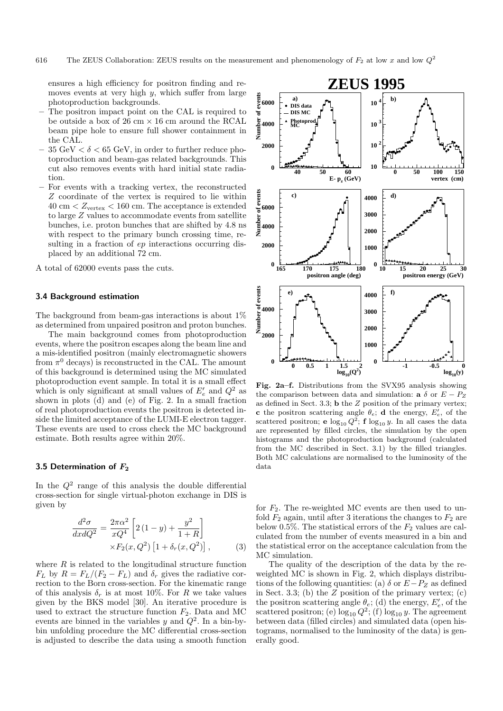ensures a high efficiency for positron finding and removes events at very high  $y$ , which suffer from large photoproduction backgrounds.

- **–** The positron impact point on the CAL is required to be outside a box of  $26 \text{ cm} \times 16 \text{ cm}$  around the RCAL beam pipe hole to ensure full shower containment in the CAL.
- $35 \text{ GeV} < \delta < 65 \text{ GeV}$ , in order to further reduce photoproduction and beam-gas related backgrounds. This cut also removes events with hard initial state radiation.
- **–** For events with a tracking vertex, the reconstructed Z coordinate of the vertex is required to lie within  $40 \text{ cm} < Z_{\text{vertex}} < 160 \text{ cm}$ . The acceptance is extended to large Z values to accommodate events from satellite bunches, i.e. proton bunches that are shifted by 4.8 ns with respect to the primary bunch crossing time, resulting in a fraction of  $ep$  interactions occurring displaced by an additional 72 cm.
- A total of 62000 events pass the cuts.

#### **3.4 Background estimation**

The background from beam-gas interactions is about 1% as determined from unpaired positron and proton bunches.

The main background comes from photoproduction events, where the positron escapes along the beam line and a mis-identified positron (mainly electromagnetic showers from  $\pi^0$  decays) is reconstructed in the CAL. The amount of this background is determined using the MC simulated photoproduction event sample. In total it is a small effect which is only significant at small values of  $E'_e$  and  $Q^2$  as shown in plots (d) and (e) of Fig. 2. In a small fraction of real photoproduction events the positron is detected inside the limited acceptance of the LUMI-E electron tagger. These events are used to cross check the MC background estimate. Both results agree within 20%.

#### **3.5 Determination of** *F***<sup>2</sup>**

In the  $Q^2$  range of this analysis the double differential cross-section for single virtual-photon exchange in DIS is given by

$$
\frac{d^2\sigma}{dx dQ^2} = \frac{2\pi\alpha^2}{xQ^4} \left[ 2\left(1-y\right) + \frac{y^2}{1+R} \right] \times F_2(x, Q^2) \left[ 1 + \delta_r(x, Q^2) \right],\tag{3}
$$

where  $R$  is related to the longitudinal structure function  $F_L$  by  $R = F_L/(F_2 - F_L)$  and  $\delta_r$  gives the radiative correction to the Born cross-section. For the kinematic range of this analysis  $\delta_r$  is at most 10%. For R we take values given by the BKS model [30]. An iterative procedure is used to extract the structure function  $F_2$ . Data and MC events are binned in the variables  $y$  and  $Q^2$ . In a bin-bybin unfolding procedure the MC differential cross-section is adjusted to describe the data using a smooth function



**Fig. 2a–f.** Distributions from the SVX95 analysis showing the comparison between data and simulation: **a**  $\delta$  or  $E - P_Z$ as defined in Sect. 3.3; **b** the Z position of the primary vertex; **c** the positron scattering angle  $\theta_e$ ; **d** the energy,  $E'_e$ , of the scattered positron; **e**  $\log_{10} Q^2$ ; **f**  $\log_{10} y$ . In all cases the data are represented by filled circles, the simulation by the open histograms and the photoproduction background (calculated from the MC described in Sect. 3.1) by the filled triangles. Both MC calculations are normalised to the luminosity of the data

for  $F_2$ . The re-weighted MC events are then used to unfold  $F_2$  again, until after 3 iterations the changes to  $F_2$  are below 0.5%. The statistical errors of the  $F_2$  values are calculated from the number of events measured in a bin and the statistical error on the acceptance calculation from the MC simulation.

The quality of the description of the data by the reweighted MC is shown in Fig. 2, which displays distributions of the following quantities: (a)  $\delta$  or  $E-P_Z$  as defined in Sect. 3.3; (b) the  $Z$  position of the primary vertex; (c) the positron scattering angle  $\theta_e$ ; (d) the energy,  $E'_e$ , of the scattered positron; (e)  $\log_{10} Q^2$ ; (f)  $\log_{10} y$ . The agreement between data (filled circles) and simulated data (open histograms, normalised to the luminosity of the data) is generally good.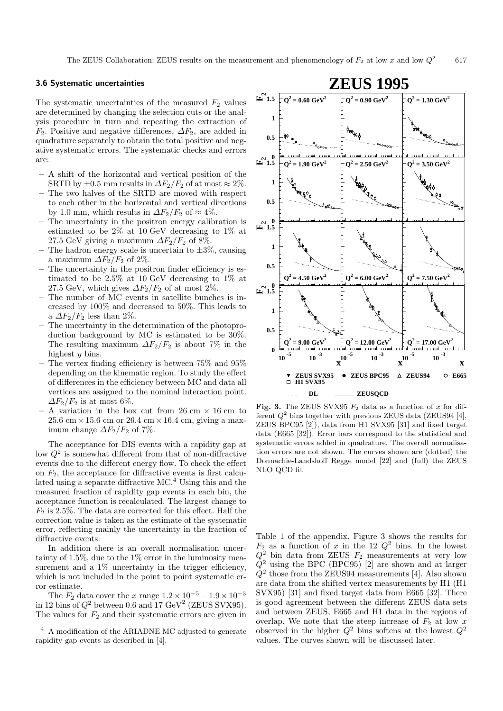#### **3.6 Systematic uncertainties**

The systematic uncertainties of the measured  $F_2$  values are determined by changing the selection cuts or the analysis procedure in turn and repeating the extraction of  $F_2$ . Positive and negative differences,  $\Delta F_2$ , are added in quadrature separately to obtain the total positive and negative systematic errors. The systematic checks and errors are:

- **–** A shift of the horizontal and vertical position of the SRTD by  $\pm 0.5$  mm results in  $\Delta F_2/F_2$  of at most  $\approx 2\%$ .
- **–** The two halves of the SRTD are moved with respect to each other in the horizontal and vertical directions by 1.0 mm, which results in  $\Delta F_2/F_2$  of  $\approx 4\%$ .
- **–** The uncertainty in the positron energy calibration is estimated to be 2% at 10 GeV decreasing to 1% at 27.5 GeV giving a maximum  $\Delta F_2/F_2$  of 8%.
- The hadron energy scale is uncertain to  $\pm 3\%$ , causing a maximum  $\Delta F_2/F_2$  of 2%.
- The uncertainty in the positron finder efficiency is estimated to be 2.5% at 10 GeV decreasing to 1% at 27.5 GeV, which gives  $\Delta F_2/F_2$  of at most 2%.
- **–** The number of MC events in satellite bunches is increased by 100% and decreased to 50%. This leads to a  $\Delta F_2/F_2$  less than 2%.
- **–** The uncertainty in the determination of the photoproduction background by MC is estimated to be 30%. The resulting maximum  $\Delta F_2/F_2$  is about 7% in the highest  $u$  bins.
- **–** The vertex finding efficiency is between 75% and 95% depending on the kinematic region. To study the effect of differences in the efficiency between MC and data all vertices are assigned to the nominal interaction point.  $\Delta F_2/F_2$  is at most 6%.
- **–** A variation in the box cut from 26 cm × 16 cm to  $25.6 \text{ cm} \times 15.6 \text{ cm}$  or  $26.4 \text{ cm} \times 16.4 \text{ cm}$ , giving a maximum change  $\Delta F_2/F_2$  of 7%.

The acceptance for DIS events with a rapidity gap at low  $Q^2$  is somewhat different from that of non-diffractive events due to the different energy flow. To check the effect on  $F_2$ , the acceptance for diffractive events is first calculated using a separate diffractive MC.<sup>4</sup> Using this and the measured fraction of rapidity gap events in each bin, the acceptance function is recalculated. The largest change to  $F_2$  is 2.5%. The data are corrected for this effect. Half the correction value is taken as the estimate of the systematic error, reflecting mainly the uncertainty in the fraction of diffractive events.

In addition there is an overall normalisation uncertainty of 1.5%, due to the 1% error in the luminosity measurement and a  $1\%$  uncertainty in the trigger efficiency, which is not included in the point to point systematic error estimate.

The  $F_2$  data cover the  $x$  range  $1.2 \times 10^{-5}-1.9 \times 10^{-3}$ in 12 bins of  $Q^2$  between 0.6 and 17 GeV<sup>2</sup> (ZEUS SVX95). The values for  $F_2$  and their systematic errors are given in



**Fig. 3.** The ZEUS SVX95  $F_2$  data as a function of x for different  $Q^2$  bins together with previous ZEUS data (ZEUS94 [4], ZEUS BPC95 [2]), data from H1 SVX95 [31] and fixed target data (E665 [32]). Error bars correspond to the statistical and systematic errors added in quadrature. The overall normalisation errors are not shown. The curves shown are (dotted) the Donnachie-Landshoff Regge model [22] and (full) the ZEUS NLO QCD fit

Table 1 of the appendix. Figure 3 shows the results for  $F_2$  as a function of x in the 12  $Q^2$  bins. In the lowest  $Q^2$  bin data from ZEUS  $F_2$  measurements at very low  $Q^2$  using the BPC (BPC95) [2] are shown and at larger  $Q<sup>2</sup>$  those from the ZEUS94 measurements [4]. Also shown are data from the shifted vertex measurements by H1 (H1 SVX95) [31] and fixed target data from E665 [32]. There is good agreement between the different ZEUS data sets and between ZEUS, E665 and H1 data in the regions of overlap. We note that the steep increase of  $F_2$  at low x observed in the higher  $Q^2$  bins softens at the lowest  $Q^2$ values. The curves shown will be discussed later.

<sup>4</sup> A modification of the ARIADNE MC adjusted to generate rapidity gap events as described in [4].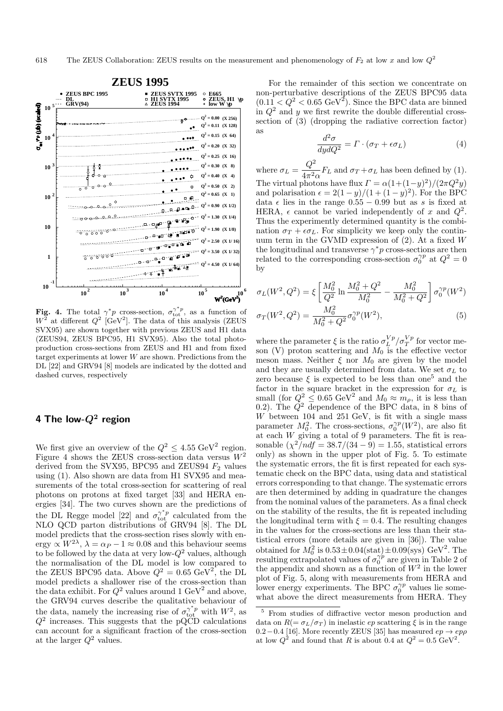

**Fig. 4.** The total  $\gamma^* p$  cross-section,  $\sigma_{\text{tot}}^{\gamma^* p}$ , as a function of  $W^2$  at different  $Q^2$  [GeV<sup>2</sup>]. The data of this analysis (ZEUS SVX95) are shown together with previous ZEUS and H1 data (ZEUS94, ZEUS BPC95, H1 SVX95). Also the total photoproduction cross-sections from ZEUS and H1 and from fixed target experiments at lower W are shown. Predictions from the DL [22] and GRV94 [8] models are indicated by the dotted and dashed curves, respectively

## **4 The low-***Q***<sup>2</sup> region**

We first give an overview of the  $Q^2 \leq 4.55 \text{ GeV}^2$  region. Figure 4 shows the ZEUS cross-section data versus  $W^2$ derived from the SVX95, BPC95 and ZEUS94  $F_2$  values using (1). Also shown are data from H1 SVX95 and measurements of the total cross-section for scattering of real photons on protons at fixed target [33] and HERA energies [34]. The two curves shown are the predictions of the DL Regge model [22] and  $\sigma_{\text{tot}}^{\gamma^*p}$  calculated from the NLO QCD parton distributions of GRV94 [8]. The DL model predicts that the cross-section rises slowly with energy  $\propto W^{2\lambda}$ ,  $\lambda = \alpha_P - 1 \approx 0.08$  and this behaviour seems to be followed by the data at very low- $Q^2$  values, although the normalisation of the DL model is low compared to the ZEUS BPC95 data. Above  $Q^2 = 0.65 \text{ GeV}^2$ , the DL model predicts a shallower rise of the cross-section than the data exhibit. For  $Q^2$  values around 1 GeV<sup>2</sup> and above, the GRV94 curves describe the qualitative behaviour of the data, namely the increasing rise of  $\sigma_{\text{tot}}^{\gamma^* p}$  with  $W^2$ , as  $Q<sup>2</sup>$  increases. This suggests that the pQCD calculations can account for a significant fraction of the cross-section at the larger  $Q^2$  values.

For the remainder of this section we concentrate on non-perturbative descriptions of the ZEUS BPC95 data  $(0.11 < Q^2 < 0.65 \text{ GeV}^2)$ . Since the BPC data are binned in  $Q^2$  and y we first rewrite the double differential crosssection of (3) (dropping the radiative correction factor) as

$$
\frac{d^2\sigma}{dydQ^2} = \Gamma \cdot (\sigma_T + \epsilon \sigma_L) \tag{4}
$$

where  $\sigma_L = \frac{Q^2}{4\pi^2 \alpha} F_L$  and  $\sigma_T + \sigma_L$  has been defined by (1). The virtual photons have flux  $\Gamma = \alpha(1+(1-y)^2)/(2\pi Q^2y)$ and polarisation  $\epsilon = 2(1-y)/(1+(1-y)^2)$ . For the BPC data  $\epsilon$  lies in the range 0.55 − 0.99 but as s is fixed at HERA,  $\epsilon$  cannot be varied independently of x and  $Q^2$ . Thus the experimently determined quantity is the combination  $\sigma_T + \epsilon \sigma_L$ . For simplicity we keep only the continuum term in the GVMD expression of  $(2)$ . At a fixed W the longitudinal and transverse  $\gamma^* p$  cross-sections are then related to the corresponding cross-section  $\sigma_0^{\gamma p}$  at  $Q^2 = 0$ by

$$
\sigma_L(W^2, Q^2) = \xi \left[ \frac{M_0^2}{Q^2} \ln \frac{M_0^2 + Q^2}{M_0^2} - \frac{M_0^2}{M_0^2 + Q^2} \right] \sigma_0^{\gamma p}(W^2)
$$

$$
\sigma_T(W^2, Q^2) = \frac{M_0^2}{M_0^2 + Q^2} \sigma_0^{\gamma p}(W^2), \tag{5}
$$

where the parameter  $\xi$  is the ratio  $\sigma_L^{Vp}/\sigma_T^{Vp}$  for vector meson (V) proton scattering and  $M_0$  is the effective vector meson mass. Neither  $\xi$  nor  $M_0$  are given by the model and they are usually determined from data. We set  $\sigma_L$  to zero because  $\xi$  is expected to be less than one<sup>5</sup> and the factor in the square bracket in the expression for  $\sigma_L$  is small (for  $Q^2 \n\leq 0.65 \text{ GeV}^2$  and  $M_0 \n\approx m_\rho$ , it is less than 0.2). The  $Q^2$  dependence of the BPC data, in 8 bins of  $W$  between 104 and 251 GeV, is fit with a single mass parameter  $M_0^2$ . The cross-sections,  $\sigma_0^{\gamma p}(W^2)$ , are also fit at each W giving a total of 9 parameters. The fit is reasonable  $(\chi^2/ndf = 38.7/(34-9) = 1.55$ , statistical errors only) as shown in the upper plot of Fig. 5. To estimate the systematic errors, the fit is first repeated for each systematic check on the BPC data, using data and statistical errors corresponding to that change. The systematic errors are then determined by adding in quadrature the changes from the nominal values of the parameters. As a final check on the stability of the results, the fit is repeated including the longitudinal term with  $\xi = 0.4$ . The resulting changes in the values for the cross-sections are less than their statistical errors (more details are given in [36]). The value obtained for  $M_0^2$  is  $0.53 \pm 0.04(\text{stat}) \pm 0.09(\text{sys}) \text{ GeV}^2$ . The resulting extrapolated values of  $\sigma_0^{\gamma p}$  are given in Table 2 of the appendix and shown as a function of  $W^2$  in the lower plot of Fig. 5, along with measurements from HERA and lower energy experiments. The BPC  $\sigma_0^{\gamma p}$  values lie somewhat above the direct measurements from HERA. They

<sup>5</sup> From studies of diffractive vector meson production and data on  $R(=\sigma_L/\sigma_T)$  in inelastic ep scattering  $\xi$  is in the range 0.2−0.4 [16]. More recently ZEUS [35] has measured  $ep\rightarrow ep\rho$ at low  $Q^2$  and found that R is about 0.4 at  $Q^2 = 0.5 \text{ GeV}^2$ .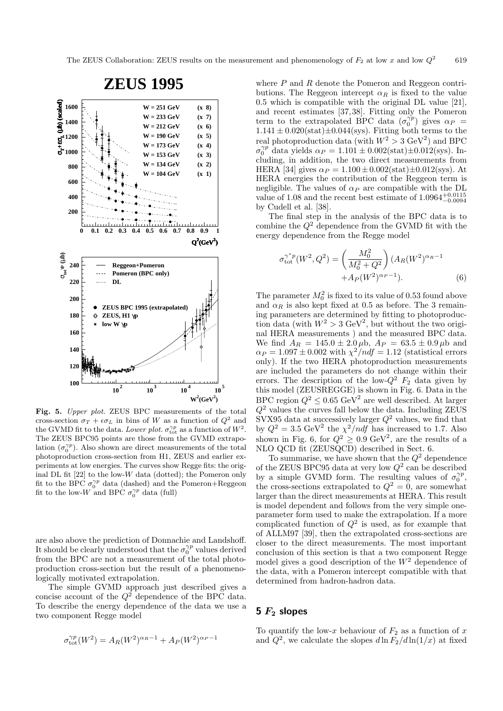

**Fig. 5.** Upper plot. ZEUS BPC measurements of the total cross-section  $\sigma_T + \epsilon \sigma_L$  in bins of W as a function of  $Q^2$  and the GVMD fit to the data. Lower plot.  $\sigma_{\text{tot}}^{\gamma p}$  as a function of  $W^2$ . The ZEUS BPC95 points are those from the GVMD extrapolation  $(\sigma_0^{\gamma p})$ . Also shown are direct measurements of the total photoproduction cross-section from H1, ZEUS and earlier experiments at low energies. The curves show Regge fits: the original DL fit  $[22]$  to the low-W data (dotted); the Pomeron only fit to the BPC  $\sigma_0^{\gamma p}$  data (dashed) and the Pomeron+Reggeon fit to the low-W and BPC  $\sigma_0^{\gamma p}$  data (full)

are also above the prediction of Donnachie and Landshoff. It should be clearly understood that the  $\sigma_0^{\gamma p}$  values derived from the BPC are not a measurement of the total photoproduction cross-section but the result of a phenomenologically motivated extrapolation.

The simple GVMD approach just described gives a concise account of the  $Q^2$  dependence of the BPC data. To describe the energy dependence of the data we use a two component Regge model

$$
\sigma_{\rm tot}^{\gamma p}(W^2) = A_R(W^2)^{\alpha_R - 1} + A_P(W^2)^{\alpha_P - 1}
$$

where  $P$  and  $R$  denote the Pomeron and Reggeon contributions. The Reggeon intercept  $\alpha_R$  is fixed to the value 0.5 which is compatible with the original DL value [21], and recent estimates [37, 38]. Fitting only the Pomeron term to the extrapolated BPC data  $(\sigma_0^{\gamma p})$  gives  $\alpha_P$  =  $1.141 \pm 0.020(stat) \pm 0.044(sys)$ . Fitting both terms to the real photoproduction data (with  $W^2 > 3 \text{ GeV}^2$ ) and BPC  $\sigma_0^{\gamma p}$  data yields  $\alpha_P = 1.101 \pm 0.002 \text{(stat)} \pm 0.012 \text{(sys)}$ . Including, in addition, the two direct measurements from HERA [34] gives  $\alpha_P = 1.100 \pm 0.002(\text{stat}) \pm 0.012(\text{sys})$ . At HERA energies the contribution of the Reggeon term is negligible. The values of  $\alpha_P$  are compatible with the DL value of 1.08 and the recent best estimate of  $1.0964_{-0.0094}^{+0.0115}$ by Cudell et al. [38].

The final step in the analysis of the BPC data is to combine the  $Q^2$  dependence from the GVMD fit with the energy dependence from the Regge model

$$
\sigma_{\text{tot}}^{\gamma^* p}(W^2, Q^2) = \left(\frac{M_0^2}{M_0^2 + Q^2}\right) (A_R(W^2)^{\alpha_R - 1} + A_P(W^2)^{\alpha_P - 1}).
$$
\n(6)

The parameter  $M_0^2$  is fixed to its value of 0.53 found above and  $\alpha_R$  is also kept fixed at 0.5 as before. The 3 remaining parameters are determined by fitting to photoproduction data (with  $W^2 > 3 \text{ GeV}^2$ , but without the two original HERA measurements ) and the measured BPC data. We find  $A_R = 145.0 \pm 2.0 \,\mu b$ ,  $A_P = 63.5 \pm 0.9 \,\mu b$  and  $\alpha_P = 1.097 \pm 0.002$  with  $\chi^2/ndf = 1.12$  (statistical errors only). If the two HERA photoproduction measurements are included the parameters do not change within their errors. The description of the low- $Q^2$   $F_2$  data given by this model (ZEUSREGGE) is shown in Fig. 6. Data in the BPC region  $Q^2 \leq 0.65 \text{ GeV}^2$  are well described. At larger  $Q<sup>2</sup>$  values the curves fall below the data. Including ZEUS SVX95 data at successively larger  $Q^2$  values, we find that by  $Q^2 = 3.5 \text{ GeV}^2$  the  $\chi^2/ndf$  has increased to 1.7. Also shown in Fig. 6, for  $Q^2 \geq 0.9 \text{ GeV}^2$ , are the results of a NLO QCD fit (ZEUSQCD) described in Sect. 6.

To summarise, we have shown that the  $Q^2$  dependence of the ZEUS BPC95 data at very low  $Q^2$  can be described by a simple GVMD form. The resulting values of  $\sigma_0^{\gamma p}$ , the cross-sections extrapolated to  $Q^2 = 0$ , are somewhat larger than the direct measurements at HERA. This result is model dependent and follows from the very simple oneparameter form used to make the extrapolation. If a more complicated function of  $Q^2$  is used, as for example that of ALLM97 [39], then the extrapolated cross-sections are closer to the direct measurements. The most important conclusion of this section is that a two component Regge model gives a good description of the  $W^2$  dependence of the data, with a Pomeron intercept compatible with that determined from hadron-hadron data.

#### **5** *F***<sup>2</sup> slopes**

To quantify the low-x behaviour of  $F_2$  as a function of x and  $Q^2$ , we calculate the slopes  $d \ln F_2/d \ln(1/x)$  at fixed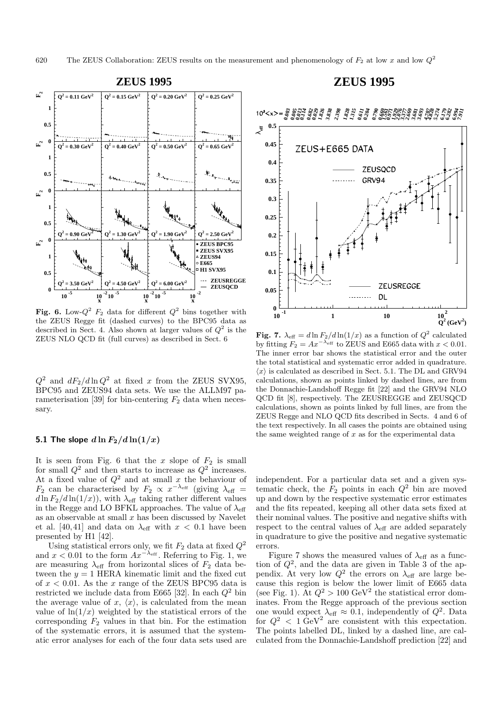

**Fig. 6.** Low- $Q^2$   $F_2$  data for different  $Q^2$  bins together with the ZEUS Regge fit (dashed curves) to the BPC95 data as described in Sect. 4. Also shown at larger values of  $Q^2$  is the ZEUS NLO QCD fit (full curves) as described in Sect. 6

 $Q^2$  and  $dF_2/d\ln Q^2$  at fixed x from the ZEUS SVX95, BPC95 and ZEUS94 data sets. We use the ALLM97 parameterisation [39] for bin-centering  $F_2$  data when necessary.

#### **5.1 The slope**  $d \ln F_2 / d \ln(1/x)$

It is seen from Fig. 6 that the  $x$  slope of  $F_2$  is small for small  $Q^2$  and then starts to increase as  $Q^2$  increases. At a fixed value of  $Q^2$  and at small x the behaviour of  $F_2$  can be characterised by  $F_2 \propto x^{-\lambda_{\text{eff}}}$  (giving  $\lambda_{\text{eff}}$  =  $d \ln F_2/d \ln(1/x)$ , with  $\lambda_{\text{eff}}$  taking rather different values in the Regge and LO BFKL approaches. The value of  $\lambda_{\text{eff}}$ as an observable at small  $x$  has been discussed by Navelet et al. [40,41] and data on  $\lambda_{\text{eff}}$  with  $x < 0.1$  have been presented by H1 [42].

Using statistical errors only, we fit  $F_2$  data at fixed  $Q^2$ and  $x < 0.01$  to the form  $Ax^{-\lambda_{\text{eff}}}$ . Referring to Fig. 1, we are measuring  $\lambda_{\text{eff}}$  from horizontal slices of  $F_2$  data between the  $y = 1$  HERA kinematic limit and the fixed cut of  $x < 0.01$ . As the x range of the ZEUS BPC95 data is restricted we include data from E665 [32]. In each  $Q^2$  bin the average value of x,  $\langle x \rangle$ , is calculated from the mean value of  $\ln(1/x)$  weighted by the statistical errors of the corresponding  $F_2$  values in that bin. For the estimation of the systematic errors, it is assumed that the systematic error analyses for each of the four data sets used are

## **ZEUS 1995**



**Fig. 7.**  $\lambda_{\text{eff}} = d \ln F_2 / d \ln(1/x)$  as a function of  $Q^2$  calculated by fitting  $F_2 = Ax^{-\lambda_{\text{eff}}}$  to ZEUS and E665 data with  $x < 0.01$ . The inner error bar shows the statistical error and the outer the total statistical and systematic error added in quadrature.  $\langle x \rangle$  is calculated as described in Sect. 5.1. The DL and GRV94 calculations, shown as points linked by dashed lines, are from the Donnachie-Landshoff Regge fit [22] and the GRV94 NLO QCD fit [8], respectively. The ZEUSREGGE and ZEUSQCD calculations, shown as points linked by full lines, are from the ZEUS Regge and NLO QCD fits described in Sects. 4 and 6 of the text respectively. In all cases the points are obtained using the same weighted range of  $x$  as for the experimental data

independent. For a particular data set and a given systematic check, the  $F_2$  points in each  $Q^2$  bin are moved up and down by the respective systematic error estimates and the fits repeated, keeping all other data sets fixed at their nominal values. The positive and negative shifts with respect to the central values of  $\lambda_{\text{eff}}$  are added separately in quadrature to give the positive and negative systematic errors.

Figure 7 shows the measured values of  $\lambda_{\text{eff}}$  as a function of  $Q^2$ , and the data are given in Table 3 of the appendix. At very low  $Q^2$  the errors on  $\lambda_{\text{eff}}$  are large because this region is below the lower limit of E665 data (see Fig. 1). At  $Q^2 > 100 \text{ GeV}^2$  the statistical error dominates. From the Regge approach of the previous section one would expect  $\lambda_{\text{eff}} \approx 0.1$ , independently of  $Q^2$ . Data for  $Q^2 < 1 \text{ GeV}^2$  are consistent with this expectation. The points labelled DL, linked by a dashed line, are calculated from the Donnachie-Landshoff prediction [22] and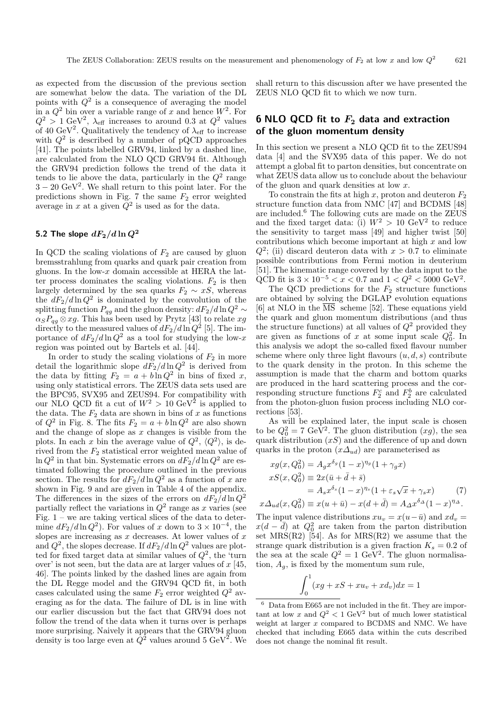as expected from the discussion of the previous section are somewhat below the data. The variation of the DL points with  $Q^2$  is a consequence of averaging the model in a  $Q^2$  bin over a variable range of x and hence  $W^2$ . For  $Q^2 > 1$  GeV<sup>2</sup>,  $\lambda_{\text{eff}}$  increases to around 0.3 at  $Q^2$  values of 40 GeV<sup>2</sup>. Qualitatively the tendency of  $\lambda_{\text{eff}}$  to increase with  $Q^2$  is described by a number of pQCD approaches [41]. The points labelled GRV94, linked by a dashed line, are calculated from the NLO QCD GRV94 fit. Although the GRV94 prediction follows the trend of the data it tends to lie above the data, particularly in the  $Q^2$  range  $3 - 20 \text{ GeV}^2$ . We shall return to this point later. For the predictions shown in Fig. 7 the same  $F_2$  error weighted average in x at a given  $\tilde{Q}^2$  is used as for the data.

# 5.2 The slope  $dF_2/d\ln Q^2$

In QCD the scaling violations of  $F_2$  are caused by gluon bremsstrahlung from quarks and quark pair creation from gluons. In the low- $x$  domain accessible at HERA the latter process dominates the scaling violations.  $F_2$  is then largely determined by the sea quarks  $F_2 \sim xS$ , whereas the  $dF_2/d\ln Q^2$  is dominated by the convolution of the splitting function  $P_{qg}$  and the gluon density:  $dF_2/d\ln Q^2 \sim$  $\alpha_{S}P_{qg}\otimes xg$ . This has been used by Prytz [43] to relate  $xg$ directly to the measured values of  $dF_2/d\ln Q^2$  [5]. The importance of  $dF_2/d\ln Q^2$  as a tool for studying the low-x region was pointed out by Bartels et al. [44].

In order to study the scaling violations of  $F_2$  in more detail the logarithmic slope  $d\tilde{F}_2/d\ln Q^2$  is derived from the data by fitting  $F_2 = a + b \ln Q^2$  in bins of fixed x, using only statistical errors. The ZEUS data sets used are the BPC95, SVX95 and ZEUS94. For compatibility with our NLO QCD fit a cut of  $W^2 > 10 \text{ GeV}^2$  is applied to the data. The  $F_2$  data are shown in bins of x as functions of  $Q^2$  in Fig. 8. The fits  $F_2 = a + b \ln Q^2$  are also shown and the change of slope as  $x$  changes is visible from the plots. In each x bin the average value of  $Q^2$ ,  $\langle Q^2 \rangle$ , is derived from the  $F_2$  statistical error weighted mean value of  $\ln Q^2$  in that bin. Systematic errors on  $dF_2/d\ln Q^2$  are estimated following the procedure outlined in the previous section. The results for  $dF_2/d\ln Q^2$  as a function of x are shown in Fig. 9 and are given in Table 4 of the appendix. The differences in the sizes of the errors on  $dF_2/d\ln Q^2$ partially reflect the variations in  $Q^2$  range as x varies (see Fig.  $1$  – we are taking vertical slices of the data to determine  $dF_2/d\ln Q^2$ . For values of x down to  $3 \times 10^{-4}$ , the slopes are increasing as  $x$  decreases. At lower values of  $x$ and  $Q^2$ , the slopes decrease. If  $dF_2/d\ln Q^2$  values are plotted for fixed target data at similar values of  $Q^2$ , the 'turn over' is not seen, but the data are at larger values of  $x$  [45, 46]. The points linked by the dashed lines are again from the DL Regge model and the GRV94 QCD fit, in both cases calculated using the same  $F_2$  error weighted  $Q^2$  averaging as for the data. The failure of DL is in line with our earlier discussion but the fact that GRV94 does not follow the trend of the data when it turns over is perhaps more surprising. Naively it appears that the GRV94 gluon density is too large even at  $\hat{Q}^2$  values around 5 GeV<sup>2</sup>. We

shall return to this discussion after we have presented the ZEUS NLO QCD fit to which we now turn.

#### **6 NLO QCD fit to** *F***<sup>2</sup> data and extraction of the gluon momentum density**

In this section we present a NLO QCD fit to the ZEUS94 data [4] and the SVX95 data of this paper. We do not attempt a global fit to parton densities, but concentrate on what ZEUS data allow us to conclude about the behaviour of the gluon and quark densities at low x.

To constrain the fits at high x, proton and deuteron  $F_2$ structure function data from NMC [47] and BCDMS [48] are included.<sup>6</sup> The following cuts are made on the ZEUS and the fixed target data: (i)  $W^2 > 10 \text{ GeV}^2$  to reduce the sensitivity to target mass [49] and higher twist [50] contributions which become important at high  $x$  and low  $Q^2$ ; (ii) discard deuteron data with  $x > 0.7$  to eliminate possible contributions from Fermi motion in deuterium [51]. The kinematic range covered by the data input to the QCD fit is  $3 \times 10^{-5} < x < 0.7$  and  $1 < Q^2 < 5000$  GeV<sup>2</sup>.

The QCD predictions for the  $F_2$  structure functions are obtained by solving the DGLAP evolution equations [6] at NLO in the  $\overline{\text{MS}}$  scheme [52]. These equations yield the quark and gluon momentum distributions (and thus the structure functions) at all values of  $Q^2$  provided they are given as functions of x at some input scale  $Q_0^2$ . In this analysis we adopt the so-called fixed flavour number scheme where only three light flavours  $(u, d, s)$  contribute to the quark density in the proton. In this scheme the assumption is made that the charm and bottom quarks are produced in the hard scattering process and the corresponding structure functions  $F_2^c$  and  $F_2^b$  are calculated from the photon-gluon fusion process including NLO corrections [53].

As will be explained later, the input scale is chosen to be  $Q_0^2 = 7 \text{ GeV}^2$ . The gluon distribution  $(xg)$ , the sea quark distribution  $(xS)$  and the difference of up and down quarks in the proton  $(x\Delta_{ud})$  are parameterised as

$$
xg(x, Q_0^2) = A_g x^{\delta_g} (1 - x)^{\eta_g} (1 + \gamma_g x)
$$
  
\n
$$
xS(x, Q_0^2) = 2x(\bar{u} + \bar{d} + \bar{s})
$$
  
\n
$$
= A_s x^{\delta_s} (1 - x)^{\eta_s} (1 + \varepsilon_s \sqrt{x} + \gamma_s x)
$$
(7)  
\n
$$
x\Delta_{ud}(x, Q_0^2) \equiv x(u + \bar{u}) - x(d + \bar{d}) = A_\Delta x^{\delta_\Delta} (1 - x)^{\eta_\Delta}.
$$

The input valence distributions  $xu_v = x(u-\bar{u})$  and  $xd_v =$  $x(d - \overline{d})$  at  $Q_0^2$  are taken from the parton distribution set  $MRS(R2)$  [54]. As for  $MRS(R2)$  we assume that the strange quark distribution is a given fraction  $K_s = 0.2$  of the sea at the scale  $Q^2 = 1$  GeV<sup>2</sup>. The gluon normalisation,  $A_g$ , is fixed by the momentum sum rule,

$$
\int_0^1 (xg + xS + xu_v + xd_v)dx = 1
$$

<sup>6</sup> Data from E665 are not included in the fit. They are important at low x and  $Q^2 < 1 \text{ GeV}^2$  but of much lower statistical weight at larger  $x$  compared to BCDMS and NMC. We have checked that including E665 data within the cuts described does not change the nominal fit result.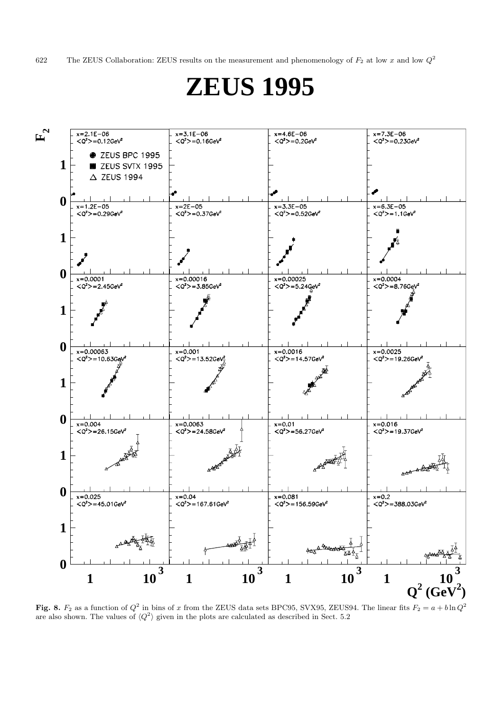622 The ZEUS Collaboration: ZEUS results on the measurement and phenomenology of  $F_2$  at low x and low  $Q^2$ 

# **ZEUS 1995**



Fig. 8.  $F_2$  as a function of  $Q^2$  in bins of x from the ZEUS data sets BPC95, SVX95, ZEUS94. The linear fits  $F_2 = a + b \ln Q^2$ are also shown. The values of  $\langle Q^2 \rangle$  given in the plots are calculated as described in Sect. 5.2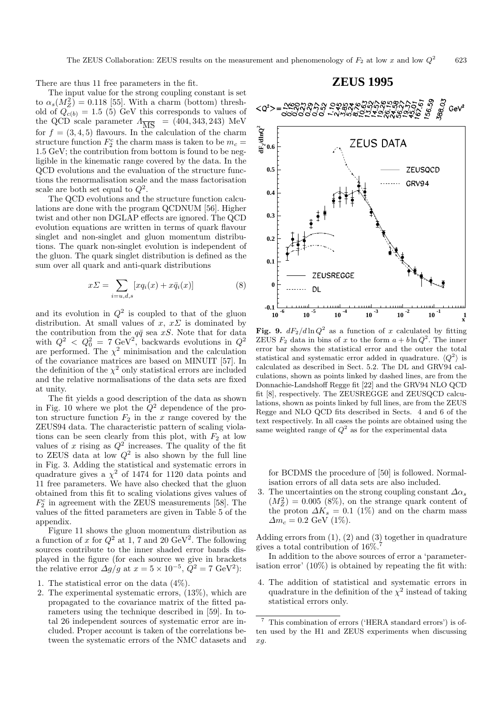There are thus 11 free parameters in the fit.

The input value for the strong coupling constant is set to  $\alpha_s(M_Z^2) = 0.118$  [55]. With a charm (bottom) threshold of  $Q_{c(b)} = 1.5$  (5) GeV this corresponds to values of the QCD scale parameter  $\Lambda_{\overline{\text{MS}}}$  = (404, 343, 243) MeV for  $f = (3, 4, 5)$  flavours. In the calculation of the charm structure function  $F_2^c$  the charm mass is taken to be  $m_c =$ 1.5 GeV; the contribution from bottom is found to be negligible in the kinematic range covered by the data. In the QCD evolutions and the evaluation of the structure functions the renormalisation scale and the mass factorisation scale are both set equal to  $Q^2$ .

The QCD evolutions and the structure function calculations are done with the program QCDNUM [56]. Higher twist and other non DGLAP effects are ignored. The QCD evolution equations are written in terms of quark flavour singlet and non-singlet and gluon momentum distributions. The quark non-singlet evolution is independent of the gluon. The quark singlet distribution is defined as the sum over all quark and anti-quark distributions

$$
x\Sigma = \sum_{i=u,d,s} [xq_i(x) + x\bar{q}_i(x)] \tag{8}
$$

and its evolution in  $Q^2$  is coupled to that of the gluon distribution. At small values of  $x, x \Sigma$  is dominated by the contribution from the  $q\bar{q}$  sea xS. Note that for data with  $Q^2$  <  $Q_0^2$  = 7 GeV<sup>2</sup>, backwards evolutions in  $Q^2$ are performed. The  $\chi^2$  minimisation and the calculation of the covariance matrices are based on MINUIT [57]. In the definition of the  $\chi^2$  only statistical errors are included and the relative normalisations of the data sets are fixed at unity.

The fit yields a good description of the data as shown in Fig. 10 where we plot the  $Q^2$  dependence of the proton structure function  $F_2$  in the x range covered by the ZEUS94 data. The characteristic pattern of scaling violations can be seen clearly from this plot, with  $F_2$  at low values of x rising as  $Q^2$  increases. The quality of the fit to ZEUS data at low  $Q^2$  is also shown by the full line in Fig. 3. Adding the statistical and systematic errors in quadrature gives a  $\chi^2$  of 1474 for 1120 data points and 11 free parameters. We have also checked that the gluon obtained from this fit to scaling violations gives values of  $F_2^c$  in agreement with the ZEUS measurements [58]. The values of the fitted parameters are given in Table 5 of the appendix.

Figure 11 shows the gluon momentum distribution as a function of x for  $Q^2$  at 1, 7 and 20 GeV<sup>2</sup>. The following sources contribute to the inner shaded error bands displayed in the figure (for each source we give in brackets the relative error  $\Delta g/g$  at  $x = 5 \times 10^{-5}$ ,  $Q^2 = 7 \text{ GeV}^2$ :

- 1. The statistical error on the data (4%).
- 2. The experimental systematic errors, (13%), which are propagated to the covariance matrix of the fitted parameters using the technique described in [59]. In total 26 independent sources of systematic error are included. Proper account is taken of the correlations between the systematic errors of the NMC datasets and

## **ZEUS 1995**



**Fig. 9.**  $dF_2/d\ln Q^2$  as a function of x calculated by fitting ZEUS  $F_2$  data in bins of x to the form  $a + b \ln Q^2$ . The inner error bar shows the statistical error and the outer the total statistical and systematic error added in quadrature.  $\langle Q^2 \rangle$  is calculated as described in Sect. 5.2. The DL and GRV94 calculations, shown as points linked by dashed lines, are from the Donnachie-Landshoff Regge fit [22] and the GRV94 NLO QCD fit [8], respectively. The ZEUSREGGE and ZEUSQCD calculations, shown as points linked by full lines, are from the ZEUS Regge and NLO QCD fits described in Sects. 4 and 6 of the text respectively. In all cases the points are obtained using the same weighted range of  $Q^2$  as for the experimental data

for BCDMS the procedure of [50] is followed. Normalisation errors of all data sets are also included.

3. The uncertainties on the strong coupling constant  $\Delta \alpha_s$  $(M_Z^2) = 0.005$  (8%), on the strange quark content of the proton  $\Delta K_s = 0.1$  (1%) and on the charm mass  $\Delta m_c = 0.2$  GeV (1%).

Adding errors from (1), (2) and (3) together in quadrature gives a total contribution of  $16\%$ .<sup>7</sup>

In addition to the above sources of error a 'parameterisation error' (10%) is obtained by repeating the fit with:

4. The addition of statistical and systematic errors in quadrature in the definition of the  $\chi^2$  instead of taking statistical errors only.

 $^7\,$  This combination of errors ('HERA standard errors') is often used by the H1 and ZEUS experiments when discussing xg.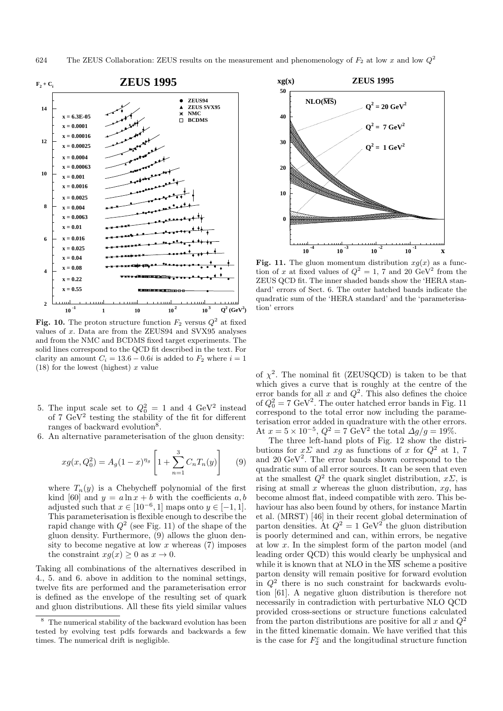

**Fig. 10.** The proton structure function  $F_2$  versus  $Q^2$  at fixed values of  $x$ . Data are from the ZEUS94 and SVX95 analyses and from the NMC and BCDMS fixed target experiments. The solid lines correspond to the QCD fit described in the text. For clarity an amount  $C_i = 13.6 - 0.6i$  is added to  $F_2$  where  $i = 1$ (18) for the lowest (highest)  $x$  value

- 5. The input scale set to  $Q_0^2 = 1$  and 4 GeV<sup>2</sup> instead of 7  $\text{GeV}^2$  testing the stability of the fit for different ranges of backward evolution<sup>8</sup>.
- 6. An alternative parameterisation of the gluon density:

$$
xg(x, Q_0^2) = A_g(1-x)^{\eta_g} \left[ 1 + \sum_{n=1}^3 C_n T_n(y) \right] \tag{9}
$$

where  $T_n(y)$  is a Chebycheff polynomial of the first kind [60] and  $y = a \ln x + b$  with the coefficients a, b adjusted such that  $x \in [10^{-6}, 1]$  maps onto  $y \in [-1, 1]$ . This parameterisation is flexible enough to describe the rapid change with  $Q^2$  (see Fig. 11) of the shape of the gluon density. Furthermore, (9) allows the gluon density to become negative at low  $x$  whereas (7) imposes the constraint  $xq(x) \geq 0$  as  $x \to 0$ .

Taking all combinations of the alternatives described in 4., 5. and 6. above in addition to the nominal settings, twelve fits are performed and the parameterisation error is defined as the envelope of the resulting set of quark and gluon distributions. All these fits yield similar values



**Fig. 11.** The gluon momentum distribution  $xg(x)$  as a function of x at fixed values of  $Q^2 = 1$ , 7 and 20 GeV<sup>2</sup> from the ZEUS QCD fit. The inner shaded bands show the 'HERA standard' errors of Sect. 6. The outer hatched bands indicate the quadratic sum of the 'HERA standard' and the 'parameterisation' errors

of  $\chi^2$ . The nominal fit (ZEUSQCD) is taken to be that which gives a curve that is roughly at the centre of the error bands for all x and  $Q^2$ . This also defines the choice of  $Q_0^2 = 7 \text{ GeV}^2$ . The outer hatched error bands in Fig. 11 correspond to the total error now including the parameterisation error added in quadrature with the other errors. At  $x = 5 \times 10^{-5}$ ,  $Q^2 = 7 \text{ GeV}^2$  the total  $\Delta g/g = 19\%$ .

The three left-hand plots of Fig. 12 show the distributions for  $x\Sigma$  and  $xg$  as functions of x for  $Q^2$  at 1, 7 and 20  $\text{GeV}^2$ . The error bands shown correspond to the quadratic sum of all error sources. It can be seen that even at the smallest  $Q^2$  the quark singlet distribution,  $x\Sigma$ , is rising at small  $x$  whereas the gluon distribution,  $xg$ , has become almost flat, indeed compatible with zero. This behaviour has also been found by others, for instance Martin et al. (MRST) [46] in their recent global determination of parton densities. At  $Q^2 = 1$  GeV<sup>2</sup> the gluon distribution is poorly determined and can, within errors, be negative at low x. In the simplest form of the parton model (and leading order QCD) this would clearly be unphysical and while it is known that at NLO in the  $\overline{\text{MS}}$  scheme a positive parton density will remain positive for forward evolution in  $Q^2$  there is no such constraint for backwards evolution [61]. A negative gluon distribution is therefore not necessarily in contradiction with perturbative NLO QCD provided cross-sections or structure functions calculated from the parton distributions are positive for all x and  $Q^2$ in the fitted kinematic domain. We have verified that this is the case for  $F_2^c$  and the longitudinal structure function

The numerical stability of the backward evolution has been tested by evolving test pdfs forwards and backwards a few times. The numerical drift is negligible.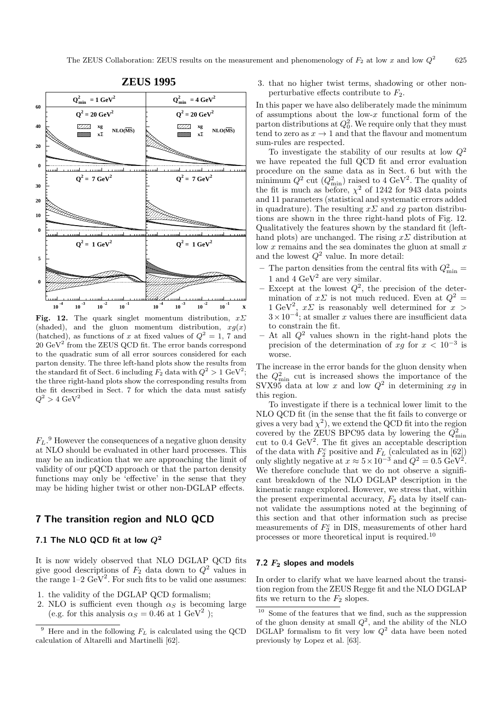

# **ZEUS 1995**

**Fig. 12.** The quark singlet momentum distribution,  $x\sum$ (shaded), and the gluon momentum distribution,  $xg(x)$ (hatched), as functions of x at fixed values of  $Q^2 = 1$ , 7 and  $20~{\rm GeV^2}$  from the ZEUS QCD fit. The error bands correspond to the quadratic sum of all error sources considered for each parton density. The three left-hand plots show the results from the standard fit of Sect. 6 including  $F_2$  data with  $Q^2 > 1$  GeV<sup>2</sup>; the three right-hand plots show the corresponding results from the fit described in Sect. 7 for which the data must satisfy  $Q^2 > 4 \text{ GeV}^2$ 

 $F_L$ .<sup>9</sup> However the consequences of a negative gluon density at NLO should be evaluated in other hard processes. This may be an indication that we are approaching the limit of validity of our pQCD approach or that the parton density functions may only be 'effective' in the sense that they may be hiding higher twist or other non-DGLAP effects.

#### **7 The transition region and NLO QCD**

#### **7.1 The NLO QCD fit at low** *Q***<sup>2</sup>**

It is now widely observed that NLO DGLAP QCD fits give good descriptions of  $F_2$  data down to  $Q^2$  values in the range  $1-2 \text{ GeV}^2$ . For such fits to be valid one assumes:

- 1. the validity of the DGLAP QCD formalism;
- 2. NLO is sufficient even though  $\alpha_S$  is becoming large (e.g. for this analysis  $\alpha_S = 0.46$  at 1 GeV<sup>2</sup>);

3. that no higher twist terms, shadowing or other nonperturbative effects contribute to  $F_2$ .

In this paper we have also deliberately made the minimum of assumptions about the low- $x$  functional form of the parton distributions at  $Q_0^2$ . We require only that they must tend to zero as  $x \to 1$  and that the flavour and momentum sum-rules are respected.

To investigate the stability of our results at low  $Q^2$ we have repeated the full QCD fit and error evaluation procedure on the same data as in Sect. 6 but with the minimum  $Q^2$  cut  $(Q_{\text{min}}^2)$  raised to 4 GeV<sup>2</sup>. The quality of the fit is much as before,  $\chi^2$  of 1242 for 943 data points and 11 parameters (statistical and systematic errors added in quadrature). The resulting  $x\Sigma$  and  $xq$  parton distributions are shown in the three right-hand plots of Fig. 12. Qualitatively the features shown by the standard fit (lefthand plots) are unchanged. The rising  $x\Sigma$  distribution at low  $x$  remains and the sea dominates the gluon at small  $x$ and the lowest  $Q^2$  value. In more detail:

- The parton densities from the central fits with  $Q_{\min}^2$  = 1 and 4  $\text{GeV}^2$  are very similar.
- Except at the lowest  $Q^2$ , the precision of the determination of  $x\Sigma$  is not much reduced. Even at  $Q^2$  = 1 GeV<sup>2</sup>,  $x\Sigma$  is reasonably well determined for  $x >$  $3 \times 10^{-4}$ ; at smaller x values there are insufficient data to constrain the fit.
- $-$  At all  $Q^2$  values shown in the right-hand plots the precision of the determination of xg for  $x < 10^{-3}$  is worse.

The increase in the error bands for the gluon density when the  $Q_{\min}^2$  cut is increased shows the importance of the SVX95 data at low x and low  $Q^2$  in determining xq in this region.

To investigate if there is a technical lower limit to the NLO QCD fit (in the sense that the fit fails to converge or gives a very bad  $\chi^2$ ), we extend the QCD fit into the region covered by the ZEUS BPC95 data by lowering the  $Q_{\text{min}}^2$ cut to 0.4 GeV<sup>2</sup>. The fit gives an acceptable description of the data with  $F_2^c$  positive and  $F_L$  (calculated as in [62]) only slightly negative at  $x \approx 5 \times 10^{-3}$  and  $Q^2 = 0.5 \text{ GeV}^2$ . We therefore conclude that we do not observe a significant breakdown of the NLO DGLAP description in the kinematic range explored. However, we stress that, within the present experimental accuracy,  $F_2$  data by itself cannot validate the assumptions noted at the beginning of this section and that other information such as precise measurements of  $F_2^c$  in DIS, measurements of other hard processes or more theoretical input is required.<sup>10</sup>

#### **7.2** *F***<sup>2</sup> slopes and models**

In order to clarify what we have learned about the transition region from the ZEUS Regge fit and the NLO DGLAP fits we return to the  $F_2$  slopes.

Here and in the following  $F<sub>L</sub>$  is calculated using the QCD calculation of Altarelli and Martinelli [62].

 $^{\rm 10}$  Some of the features that we find, such as the suppression of the gluon density at small  $Q^2$ , and the ability of the NLO DGLAP formalism to fit very low  $Q^2$  data have been noted previously by Lopez et al. [63].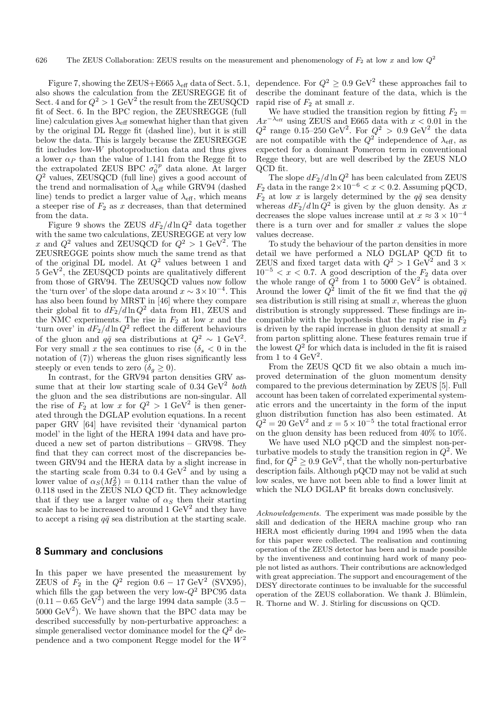Figure 7, showing the ZEUS+E665  $\lambda_{\text{eff}}$  data of Sect. 5.1, also shows the calculation from the ZEUSREGGE fit of Sect. 4 and for  $Q^2 > 1$  GeV<sup>2</sup> the result from the ZEUSQCD fit of Sect. 6. In the BPC region, the ZEUSREGGE (full line) calculation gives  $\lambda_{\text{eff}}$  somewhat higher than that given by the original DL Regge fit (dashed line), but it is still below the data. This is largely because the ZEUSREGGE fit includes low- $W$  photoproduction data and thus gives a lower  $\alpha_P$  than the value of 1.141 from the Regge fit to the extrapolated ZEUS BPC  $\sigma_0^{\gamma p}$  data alone. At larger  $Q<sup>2</sup>$  values, ZEUSQCD (full line) gives a good account of the trend and normalisation of  $\lambda_{\text{eff}}$  while GRV94 (dashed line) tends to predict a larger value of  $\lambda_{\text{eff}}$ , which means a steeper rise of  $F_2$  as x decreases, than that determined from the data.

Figure 9 shows the ZEUS  $dF_2/d\ln Q^2$  data together with the same two calculations, ZEUSREGGE at very low x and  $Q^2$  values and ZEUSQCD for  $Q^2 > 1$  GeV<sup>2</sup>. The ZEUSREGGE points show much the same trend as that of the original DL model. At  $Q^2$  values between 1 and  $5 \text{ GeV}^2$ , the ZEUSQCD points are qualitatively different from those of GRV94. The ZEUSQCD values now follow the 'turn over' of the slope data around  $x \sim 3 \times 10^{-4}$ . This has also been found by MRST in [46] where they compare their global fit to  $dF_2/d\ln Q^2$  data from H1, ZEUS and the NMC experiments. The rise in  $F_2$  at low x and the 'turn over' in  $dF_2/d\ln Q^2$  reflect the different behaviours of the gluon and  $q\bar{q}$  sea distributions at  $Q^2 \sim 1 \text{ GeV}^2$ . For very small x the sea continues to rise  $(\delta_s < 0$  in the notation of (7)) whereas the gluon rises significantly less steeply or even tends to zero  $(\delta_g \geq 0)$ .

In contrast, for the GRV94 parton densities GRV assume that at their low starting scale of  $0.34 \text{ GeV}^2$  both the gluon and the sea distributions are non-singular. All the rise of  $F_2$  at low x for  $Q^2 > 1 \text{ GeV}^2$  is then generated through the DGLAP evolution equations. In a recent paper GRV [64] have revisited their 'dynamical parton model' in the light of the HERA 1994 data and have produced a new set of parton distributions – GRV98. They find that they can correct most of the discrepancies between GRV94 and the HERA data by a slight increase in the starting scale from 0.34 to 0.4  $\text{GeV}^2$  and by using a lower value of  $\alpha_S(M_Z^2) = 0.114$  rather than the value of 0.118 used in the ZEUS NLO QCD fit. They acknowledge that if they use a larger value of  $\alpha_s$  then their starting scale has to be increased to around  $1 \text{ GeV}^2$  and they have to accept a rising  $q\bar{q}$  sea distribution at the starting scale.

#### **8 Summary and conclusions**

In this paper we have presented the measurement by ZEUS of  $F_2$  in the  $Q^2$  region 0.6 – 17 GeV<sup>2</sup> (SVX95), which fills the gap between the very low- $Q^2$  BPC95 data  $(0.11 - 0.65 \text{ GeV}^2)$  and the large 1994 data sample  $(3.5 5000 \text{ GeV}^2$ ). We have shown that the BPC data may be described successfully by non-perturbative approaches: a simple generalised vector dominance model for the  $Q^2$  dependence and a two component Regge model for the  $W^2$  dependence. For  $Q^2 \geq 0.9$  GeV<sup>2</sup> these approaches fail to describe the dominant feature of the data, which is the rapid rise of  $F_2$  at small x.

We have studied the transition region by fitting  $F_2 =$  $Ax^{-\lambda_{\text{eff}}}$  using ZEUS and E665 data with  $x < 0.01$  in the  $Q^2$  range 0.15–250 GeV<sup>2</sup>. For  $Q^2 > 0.9 \text{ GeV}^2$  the data are not compatible with the  $Q^2$  independence of  $\lambda_{\text{eff}}$ , as expected for a dominant Pomeron term in conventional Regge theory, but are well described by the ZEUS NLO QCD fit.

The slope  $dF_2/d\ln Q^2$  has been calculated from ZEUS  $F_2$  data in the range  $2 \times 10^{-6} < x < 0.2$ . Assuming pQCD,  $F_2$  at low x is largely determined by the  $q\bar{q}$  sea density whereas  $dF_2/d\ln Q^2$  is given by the gluon density. As x decreases the slope values increase until at  $x \approx 3 \times 10^{-4}$ there is a turn over and for smaller  $x$  values the slope values decrease.

To study the behaviour of the parton densities in more detail we have performed a NLO DGLAP QCD fit to ZEUS and fixed target data with  $Q^2 > 1$  GeV<sup>2</sup> and 3  $\times$  $10^{-5} < x < 0.7$ . A good description of the  $F_2$  data over the whole range of  $\ddot{Q}^2$  from 1 to 5000 GeV<sup>2</sup> is obtained. Around the lower  $Q^2$  limit of the fit we find that the  $q\bar{q}$ sea distribution is still rising at small  $x$ , whereas the gluon distribution is strongly suppressed. These findings are incompatible with the hypothesis that the rapid rise in  $F_2$ is driven by the rapid increase in gluon density at small  $x$ from parton splitting alone. These features remain true if the lowest  $Q^2$  for which data is included in the fit is raised from 1 to 4  $\text{GeV}^2$ .

From the ZEUS QCD fit we also obtain a much improved determination of the gluon momentum density compared to the previous determination by ZEUS [5]. Full account has been taken of correlated experimental systematic errors and the uncertainty in the form of the input gluon distribution function has also been estimated. At  $Q^2 = 20 \text{ GeV}^2$  and  $x = 5 \times 10^{-5}$  the total fractional error on the gluon density has been reduced from 40% to 10%.

We have used NLO pQCD and the simplest non-perturbative models to study the transition region in  $Q^2$ . We find, for  $Q^2 \geq 0.9$  GeV<sup>2</sup>, that the wholly non-perturbative description fails. Although pQCD may not be valid at such low scales, we have not been able to find a lower limit at which the NLO DGLAP fit breaks down conclusively.

Acknowledgements. The experiment was made possible by the skill and dedication of the HERA machine group who ran HERA most efficiently during 1994 and 1995 when the data for this paper were collected. The realisation and continuing operation of the ZEUS detector has been and is made possible by the inventiveness and continuing hard work of many people not listed as authors. Their contributions are acknowledged with great appreciation. The support and encouragement of the DESY directorate continues to be invaluable for the successful operation of the ZEUS collaboration. We thank J. Blümlein, R. Thorne and W. J. Stirling for discussions on QCD.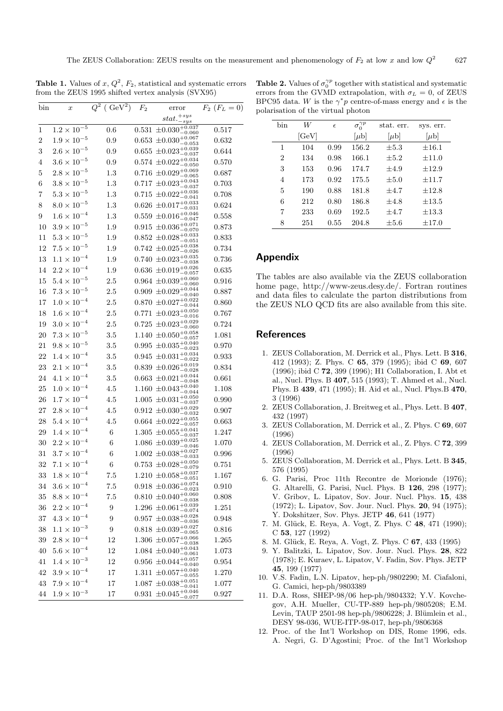**Table 1.** Values of x,  $Q^2$ ,  $F_2$ , statistical and systematic errors from the ZEUS 1995 shifted vertex analysis (SVX95)

| bin            | $\boldsymbol{x}$     | $Q^2$ ( $\text{GeV}^2$ ) | $F_2$ | error                                              | $F_2$ $(F_L = 0)$ |
|----------------|----------------------|--------------------------|-------|----------------------------------------------------|-------------------|
|                |                      |                          |       | $stat.^{+sys}_{-sys}$<br>$-sys$                    |                   |
| 1              | $1.2 \times 10^{-5}$ | 0.6                      |       | $0.531 \pm 0.030_{-0.080}^{+0.037}$<br>$-0.060$    | 0.517             |
| $\overline{2}$ | $1.9\times10^{-5}$   | 0.9                      |       | $0.653 \pm 0.030^{+0.067}_{-0.053}$                | 0.632             |
| 3              | $2.6 \times 10^{-5}$ | 0.9                      |       | $0.655 \pm 0.023^{+0.039}_{-0.037}$                | 0.644             |
| 4              | $3.6 \times 10^{-5}$ | 0.9                      |       | $0.574 \pm 0.022^{+0.034}_{-0.050}$                | 0.570             |
| 5              | $2.8\times10^{-5}$   | 1.3                      |       | $0.716 \pm 0.029^{+0.069}_{-0.065}$                | 0.687             |
| 6              | $3.8\times10^{-5}$   | $1.3\,$                  |       | $0.717 \pm 0.023_{-0.027}^{+0.043}$<br>$-0.037$    | 0.703             |
| 7              | $5.3\times10^{-5}$   | 1.3                      |       | $0.715 \pm 0.022^{+0.036}_{-0.041}$<br>$-0.041$    | 0.708             |
| 8              | $8.0\times10^{-5}$   | 1.3                      |       | $0.626 \pm 0.017^{+0.033}_{-0.031}$                | 0.624             |
| 9              | $1.6 \times 10^{-4}$ | 1.3                      |       | $0.559 \pm 0.016_{-0.047}^{+0.046}$<br>$-0.047$    | 0.558             |
| 10             | $3.9 \times 10^{-5}$ | 1.9                      |       | $0.915 \pm 0.036^{+0.071}_{-0.070}$                | 0.873             |
| 11             | $5.3 \times 10^{-5}$ | 1.9                      |       | $0.852 \pm 0.028^{+0.033}_{-0.051}$                | 0.833             |
| 12             | $7.5 \times 10^{-5}$ | 1.9                      |       | $0.742 \pm 0.025^{+0.038}_{-0.026}$<br>$-0.026$    | 0.734             |
| 13             | $1.1 \times 10^{-4}$ | 1.9                      |       | $0.740 \pm 0.023_{-0.028}^{+0.035}$<br>$-0.038$    | 0.736             |
| 14             | $2.2 \times 10^{-4}$ | 1.9                      |       | $0.636 \pm 0.019^{+0.026}_{-0.057}$                | 0.635             |
| 15             | $5.4\times10^{-5}$   | $2.5\,$                  |       | $-0.057$<br>$0.964 \pm 0.039_{-0.060}^{+0.060}$    | 0.916             |
| 16             | $7.3\times10^{-5}$   | 2.5                      |       | $-0.060$<br>$0.909 \pm 0.029_{-0.049}^{+0.044}$    | 0.887             |
| 17             | $1.0 \times 10^{-4}$ | 2.5                      |       | $-0.040$<br>$0.870 \pm 0.027^{+0.022}_{-0.044}$    | 0.860             |
| 18             | $1.6 \times 10^{-4}$ | 2.5                      |       | $0.771 \pm 0.023^{+0.050}_{-0.016}$                | 0.767             |
| 19             | $3.0 \times 10^{-4}$ | 2.5                      |       | $0.725 \pm 0.023^{+0.029}_{-0.060}$                | 0.724             |
| 20             | $7.3 \times 10^{-5}$ | 3.5                      |       | $1.140 \pm 0.050^{+0.058}_{-0.057}$                | 1.081             |
| 21             | $9.8\times10^{-5}$   | 3.5                      |       | $0.995 \pm 0.035_{-0.022}^{+0.040}$                | 0.970             |
| 22             | $1.4\times10^{-4}$   | 3.5                      |       | $-0.023$<br>$0.945 \pm 0.031_{-0.022}^{+0.034}$    | 0.933             |
| 23             | $2.1\times10^{-4}$   | 3.5                      |       | -0.022<br>$0.839 \pm 0.026_{-0.028}^{+0.019}$      | 0.834             |
| 24             | $4.1 \times 10^{-4}$ | 3.5                      |       | $-0.028$<br>$0.663 \pm 0.021^{+0.044}_{-0.048}$    | 0.661             |
| 25             | $1.0 \times 10^{-4}$ | 4.5                      |       | $-0.048$<br>$1.160 \pm 0.043^{+0.040}_{-0.044}$    | 1.108             |
| 26             | $1.7 \times 10^{-4}$ | 4.5                      |       | $1.005 \pm 0.031^{+0.050}_{-0.037}$                | 0.990             |
| 27             | $2.8 \times 10^{-4}$ | 4.5                      |       | $0.912 \pm 0.030^{+0.029}_{-0.032}$                | 0.907             |
| 28             | $5.4 \times 10^{-4}$ | 4.5                      |       | $0.664 \pm 0.022^{+0.055}_{-0.057}$<br>$-0.057$    | 0.663             |
| 29             | $1.4\times10^{-4}$   | 6                        |       | $1.305 \pm 0.055^{+0.041}_{-0.027}$<br>$-0.037$    | 1.247             |
| 30             | $2.2\times10^{-4}$   | 6                        |       | $1.086 \pm 0.039_{-0.046}^{+0.025}$<br>$-0.046$    | 1.070             |
| 31             | $3.7\times10^{-4}$   | 6                        |       | $1.002 \pm 0.038_{-0.027}^{+0.027}$<br>$-0.033$    | 0.996             |
| 32             | $7.1\times10^{-4}$   | 6                        |       | $0.753 \pm 0.028^{+0.050}_{-0.079}$                | 0.751             |
| 33             | $1.8\times10^{-4}$   | 7.5                      |       | $1.210 \pm 0.058^{+0.037}_{-0.051}$                | 1.167             |
| 34             | $3.6 \times 10^{-4}$ | 7.5                      |       | $0.918 \pm 0.036_{-0.023}^{+0.074}$                | 0.910             |
| $35\,$         | $8.8 \times 10^{-4}$ | 7.5                      |       | $0.810 \pm 0.040^{+0.060}_{-0.038}$                | 0.808             |
| 36             | $2.2\times10^{-4}$   | 9                        |       | $1.296 \pm 0.061^{+0.039}_{-0.074}$                | 1.251             |
| 37             | $4.3 \times 10^{-4}$ | 9                        |       | $0.957 \pm 0.038_{-0.028}^{+0.028}$<br>$^{-0.036}$ | 0.948             |
| 38             | $1.1 \times 10^{-3}$ | 9                        |       | $0.818 \pm 0.039^{+0.027}_{-0.025}$<br>$-0.065$    | 0.816             |
| 39             | $2.8 \times 10^{-4}$ | 12                       |       | $1.306 \pm 0.057^{+0.066}_{-0.038}$                | 1.265             |
| 40             | $5.6 \times 10^{-4}$ | 12                       |       | $1.084 \pm 0.040^{+0.043}_{-0.061}$                | 1.073             |
| 41             | $1.4 \times 10^{-3}$ | 12                       |       | $0.956 \pm 0.044^{+0.057}_{-0.040}$                | 0.954             |
| 42             | $3.9 \times 10^{-4}$ | 17                       |       | $1.311 \pm 0.057^{+0.040}_{-0.055}$                | 1.270             |
| 43             | $7.9\times10^{-4}$   | 17                       |       | $1.087 ~ \pm 0.038 ^{+0.051}_{-0.041}$             | 1.077             |
| 44             | $1.9\times10^{-3}$   | 17                       |       | 0.931 $\pm 0.045^{+0.046}_{-0.077}$                | 0.927             |

**Table 2.** Values of  $\sigma_0^{\gamma p}$  together with statistical and systematic errors from the GVMD extrapolation, with  $\sigma_L = 0$ , of ZEUS BPC95 data. W is the  $\gamma^* p$  centre-of-mass energy and  $\epsilon$  is the polarisation of the virtual photon

| hin            | W     |            | $\bar{\sigma_0^{\gamma p}}$ | stat. err. |            |
|----------------|-------|------------|-----------------------------|------------|------------|
|                |       | $\epsilon$ |                             |            | sys. err.  |
|                | [GeV] |            | $[\mu b]$                   | $ \mu b $  | $[\mu b]$  |
| 1              | 104   | 0.99       | 156.2                       | $\pm 5.3$  | $\pm 16.1$ |
| $\overline{2}$ | 134   | 0.98       | 166.1                       | $+5.2$     | $+11.0$    |
| 3              | 153   | 0.96       | 174.7                       | $+4.9$     | $+12.9$    |
| 4              | 173   | 0.92       | 175.5                       | $+5.0$     | $+11.7$    |
| 5              | 190   | 0.88       | 181.8                       | $+4.7$     | $+12.8$    |
| 6              | 212   | 0.80       | 186.8                       | $+4.8$     | $+13.5$    |
| 7              | 233   | 0.69       | 192.5                       | $+4.7$     | $\pm 13.3$ |
| 8              | 251   | 0.55       | 204.8                       | $\pm 5.6$  | $\pm 17.0$ |

#### **Appendix**

The tables are also available via the ZEUS collaboration home page, http://www-zeus.desy.de/. Fortran routines and data files to calculate the parton distributions from the ZEUS NLO QCD fits are also available from this site.

#### **References**

- 1. ZEUS Collaboration, M. Derrick et al., Phys. Lett. B **316**, 412 (1993); Z. Phys. C **65**, 379 (1995); ibid C **69**, 607 (1996); ibid C **72**, 399 (1996); H1 Collaboration, I. Abt et al., Nucl. Phys. B **407**, 515 (1993); T. Ahmed et al., Nucl. Phys. B **439**, 471 (1995); H. Aid et al., Nucl. Phys.B **470**, 3 (1996)
- 2. ZEUS Collaboration, J. Breitweg et al., Phys. Lett. B **407**, 432 (1997)
- 3. ZEUS Collaboration, M. Derrick et al., Z. Phys. C **69**, 607 (1996)
- 4. ZEUS Collaboration, M. Derrick et al., Z. Phys. C **72**, 399 (1996)
- 5. ZEUS Collaboration, M. Derrick et al., Phys. Lett. B **345**, 576 (1995)
- 6. G. Parisi, Proc 11th Recontre de Morionde (1976); G. Altarelli, G. Parisi, Nucl. Phys. B **126**, 298 (1977); V. Gribov, L. Lipatov, Sov. Jour. Nucl. Phys. **15**, 438 (1972); L. Lipatov, Sov. Jour. Nucl. Phys. **20**, 94 (1975); Y. Dokshitzer, Sov. Phys. JETP **46**, 641 (1977)
- 7. M. Gl¨uck, E. Reya, A. Vogt, Z. Phys. C **48**, 471 (1990); C **53**, 127 (1992)
- 8. M. Gl¨uck, E. Reya, A. Vogt, Z. Phys. C **67**, 433 (1995)
- 9. Y. Balitzki, L. Lipatov, Sov. Jour. Nucl. Phys. **28**, 822 (1978); E. Kuraev, L. Lipatov, V. Fadin, Sov. Phys. JETP **45**, 199 (1977)
- 10. V.S. Fadin, L.N. Lipatov, hep-ph/9802290; M. Ciafaloni, G. Camici, hep-ph/9803389
- 11. D.A. Ross, SHEP-98/06 hep-ph/9804332; Y.V. Kovchegov, A.H. Mueller, CU-TP-889 hep-ph/9805208; E.M. Levin, TAUP 2501-98 hep-ph/9806228; J. Blümlein et al., DESY 98-036, WUE-ITP-98-017, hep-ph/9806368
- 12. Proc. of the Int'l Workshop on DIS, Rome 1996, eds. A. Negri, G. D'Agostini; Proc. of the Int'l Workshop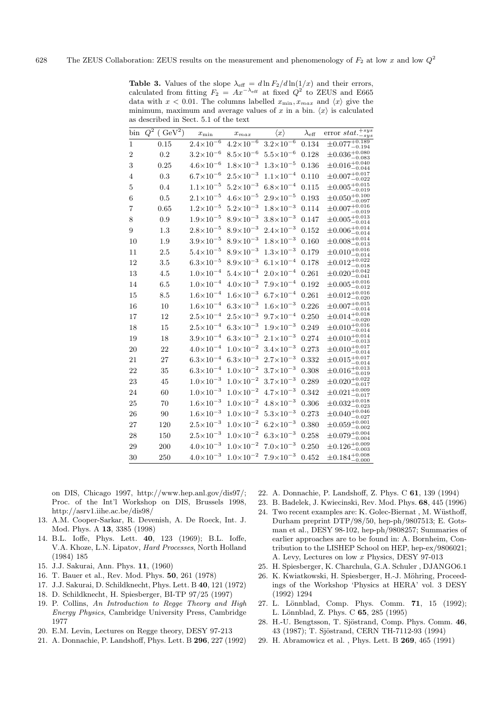**Table 3.** Values of the slope  $\lambda_{\text{eff}} = d \ln F_2 / d \ln(1/x)$  and their errors, calculated from fitting  $F_2 = Ax^{-\lambda_{\text{eff}}}$  at fixed  $Q^2$  to ZEUS and E665 data with  $x < 0.01$ . The columns labelled  $x_{\min}, x_{\max}$  and  $\langle x \rangle$  give the minimum, maximum and average values of x in a bin.  $\langle x \rangle$  is calculated as described in Sect. 5.1 of the text

| bin            | ( GeV <sup>2</sup> )<br>$Q^{\overline{2}}$ | $x_{\min}$           | $x_{max}$            | $\langle x \rangle$  | $\lambda_{\text{eff}}$ | error $stat.\overline{^{+sys}_{-sys}}$       |
|----------------|--------------------------------------------|----------------------|----------------------|----------------------|------------------------|----------------------------------------------|
| $\mathbf{1}$   | 0.15                                       | $2.4 \times 10^{-6}$ | $4.2 \times 10^{-6}$ | $3.2 \times 10^{-6}$ | 0.134                  | $\pm 0.077\frac{+0.189}{-0.182}$             |
| $\overline{2}$ | 0.2                                        | $3.2 \times 10^{-6}$ | $8.5 \times 10^{-6}$ | $5.5 \times 10^{-6}$ | 0.128                  | $\pm 0.036^{+0.080}_{-0.083}$                |
| 3              | 0.25                                       | $4.6 \times 10^{-6}$ | $1.8 \times 10^{-3}$ | $1.3 \times 10^{-5}$ | 0.136                  | $\pm 0.016^{+0.040}_{-0.04}$<br>$-0.044$     |
| 4              | 0.3                                        | $6.7\times10^{-6}$   | $2.5 \times 10^{-3}$ | $1.1 \times 10^{-4}$ | 0.110                  | $\pm 0.007^{+0.017}_{-0.002}$                |
| 5              | 0.4                                        | $1.1 \times 10^{-5}$ | $5.2 \times 10^{-3}$ | $6.8\times10^{-4}$   | 0.115                  | $\pm 0.005^{+0.015}_{-0.019}$                |
| 6              | 0.5                                        | $2.1 \times 10^{-5}$ | $4.6 \times 10^{-5}$ | $2.9 \times 10^{-5}$ | 0.193                  | $\pm 0.050^{+0.100}_{-0.097}$                |
| 7              | 0.65                                       | $1.2 \times 10^{-5}$ | $5.2 \times 10^{-3}$ | $1.8 \times 10^{-3}$ | 0.114                  | $\pm 0.007^{+0.016}_{-0.016}$                |
| 8              | 0.9                                        | $1.9 \times 10^{-5}$ | $8.9\times10^{-3}$   | $3.8 \times 10^{-3}$ | 0.147                  | $\pm 0.005^{+0.013}_{-0.014}$                |
| 9              | 1.3                                        | $2.8 \times 10^{-5}$ | $8.9 \times 10^{-3}$ | $2.4\times10^{-3}$   | 0.152                  | $\pm 0.006^{+0.014}_{-0.014}$                |
| 10             | 1.9                                        | $3.9\times10^{-5}$   | $8.9 \times 10^{-3}$ | $1.8 \times 10^{-3}$ | 0.160                  | $\pm 0.008^{+0.014}_{-0.012}$<br>$-0.013$    |
| 11             | 2.5                                        | $5.4 \times 10^{-5}$ | $8.9 \times 10^{-3}$ | $1.3 \times 10^{-3}$ | 0.179                  | $\pm 0.010^{+0.016}_{-0.014}$                |
| 12             | 3.5                                        | $6.3 \times 10^{-5}$ | $8.9 \times 10^{-3}$ | $6.1 \times 10^{-4}$ | 0.178                  | $\pm 0.012^{+0.022}_{-0.012}$                |
| 13             | 4.5                                        | $1.0\times10^{-4}$   | $5.4\times10^{-4}$   | $2.0\times10^{-4}$   | 0.261                  | $\pm 0.020^{+0.042}_{-0.042}$                |
| 14             | 6.5                                        | $1.0 \times 10^{-4}$ | $4.0\times10^{-3}$   | $7.9 \times 10^{-4}$ | 0.192                  | $\pm 0.005^{+0.016}_{-0.012}$                |
| 15             | 8.5                                        | $1.6 \times 10^{-4}$ | $1.6 \times 10^{-3}$ | $6.7\times10^{-4}$   | 0.261                  | $\pm 0.012^{+0.016}_{-0.020}$                |
| 16             | 10                                         | $1.6\times10^{-4}$   | $6.3\times10^{-3}$   | $1.6 \times 10^{-3}$ | 0.226                  | $\pm 0.007^{+0.015}_{-0.014}$                |
| 17             | 12                                         | $2.5 \times 10^{-4}$ | $2.5 \times 10^{-3}$ | $9.7 \times 10^{-4}$ | 0.250                  | $\pm 0.014^{+0.018}_{-0.022}$                |
| 18             | 15                                         | $2.5 \times 10^{-4}$ | $6.3 \times 10^{-3}$ | $1.9 \times 10^{-3}$ | 0.249                  | $\pm 0.010^{+0.016}_{-0.016}$<br>$^{-0.014}$ |
| 19             | 18                                         | $3.9 \times 10^{-4}$ | $6.3 \times 10^{-3}$ | $2.1 \times 10^{-3}$ | 0.274                  | $\pm 0.010^{+0.014}_{-0.016}$<br>$-0.013$    |
| 20             | 22                                         | $4.0 \times 10^{-4}$ | $1.0\times10^{-2}$   | $3.4 \times 10^{-3}$ | 0.273                  | $\pm 0.010^{+0.017}_{-0.017}$<br>$^{-0.014}$ |
| 21             | 27                                         | $6.3\times10^{-4}$   | $6.3 \times 10^{-3}$ | $2.7\times10^{-3}$   | 0.332                  | $\pm 0.015^{+0.017}_{-0.014}$                |
| 22             | 35                                         | $6.3 \times 10^{-4}$ | $1.0 \times 10^{-2}$ | $3.7 \times 10^{-3}$ | 0.308                  | $\pm 0.016^{+0.013}_{-0.019}$                |
| 23             | 45                                         | $1.0\times10^{-3}$   | $1.0\times10^{-2}$   | $3.7 \times 10^{-3}$ | 0.289                  | $\pm 0.020^{+0.022}_{-0.017}$<br>$-0.017$    |
| 24             | 60                                         | $1.0 \times 10^{-3}$ | $1.0 \times 10^{-2}$ | $4.7 \times 10^{-3}$ | 0.342                  | $\pm 0.021^{+0.009}_{-0.017}$                |
| 25             | 70                                         | $1.6 \times 10^{-3}$ | $1.0 \times 10^{-2}$ | $4.8 \times 10^{-3}$ | 0.306                  | $\pm 0.032^{+0.018}_{-0.022}$<br>$-0.023$    |
| 26             | 90                                         | $1.6 \times 10^{-3}$ | $1.0\times10^{-2}$   | $5.3 \times 10^{-3}$ | 0.273                  | $\pm 0.040^{+0.046}_{-0.027}$                |
| 27             | 120                                        | $2.5 \times 10^{-3}$ | $1.0 \times 10^{-2}$ | $6.2 \times 10^{-3}$ | 0.380                  | $\pm 0.059^{+0.001}_{-0.002}$<br>$-0.002$    |
| 28             | 150                                        | $2.5 \times 10^{-3}$ | $1.0\times10^{-2}$   | $6.3 \times 10^{-3}$ | 0.258                  | $\pm 0.079^{+0.004}_{-0.001}$<br>$-0.004$    |
| 29             | 200                                        | $4.0 \times 10^{-3}$ | $1.0{\times}10^{-2}$ | $7.0\times10^{-3}$   | 0.250                  | $\pm 0.126^{+0.009}_{-0.002}$                |
| 30             | 250                                        | $4.0 \times 10^{-3}$ | $1.0 \times 10^{-2}$ | $7.9 \times 10^{-3}$ | 0.452                  | $\pm 0.184^{+0.008}_{-0.000}$                |

on DIS, Chicago 1997, http://www.hep.anl.gov/dis97/; Proc. of the Int'l Workshop on DIS, Brussels 1998, http://asrv1.iihe.ac.be/dis98/

- 13. A.M. Cooper-Sarkar, R. Devenish, A. De Roeck, Int. J. Mod. Phys. A **13**, 3385 (1998)
- 14. B.L. Ioffe, Phys. Lett. **40**, 123 (1969); B.L. Ioffe, V.A. Khoze, L.N. Lipatov, Hard Processes, North Holland (1984) 185
- 15. J.J. Sakurai, Ann. Phys. **11**, (1960)
- 16. T. Bauer et al., Rev. Mod. Phys. **50**, 261 (1978)
- 17. J.J. Sakurai, D. Schildknecht, Phys. Lett. B **40**, 121 (1972)
- 18. D. Schildknecht, H. Spiesberger, BI-TP 97/25 (1997)
- 19. P. Collins, An Introduction to Regge Theory and High Energy Physics, Cambridge University Press, Cambridge 1977
- 20. E.M. Levin, Lectures on Regge theory, DESY 97-213
- 21. A. Donnachie, P. Landshoff, Phys. Lett. B **296**, 227 (1992)
- 22. A. Donnachie, P. Landshoff, Z. Phys. C **61**, 139 (1994)
- 23. B. Badelek, J. Kwiecinski, Rev. Mod. Phys. **68**, 445 (1996)
- 24. Two recent examples are: K. Golec-Biernat, M. Wüsthoff, Durham preprint DTP/98/50, hep-ph/9807513; E. Gotsman et al., DESY 98-102, hep-ph/9808257; Summaries of earlier approaches are to be found in: A. Bornheim, Contribution to the LISHEP School on HEP, hep-ex/9806021; A. Levy, Lectures on low x Physics, DESY 97-013
- 25. H. Spiesberger, K. Charchula, G.A. Schuler , DJANGO6.1
- 26. K. Kwiatkowski, H. Spiesberger, H.-J. Möhring, Proceedings of the Workshop 'Physics at HERA' vol. 3 DESY (1992) 1294
- 27. L. L¨onnblad, Comp. Phys. Comm. **71**, 15 (1992); L. L¨onnblad, Z. Phys. C **65**, 285 (1995)
- 28. H.-U. Bengtsson, T. Sjöstrand, Comp. Phys. Comm. 46, 43 (1987); T. Sjöstrand, CERN TH-7112-93 (1994)
- 29. H. Abramowicz et al. , Phys. Lett. B **269**, 465 (1991)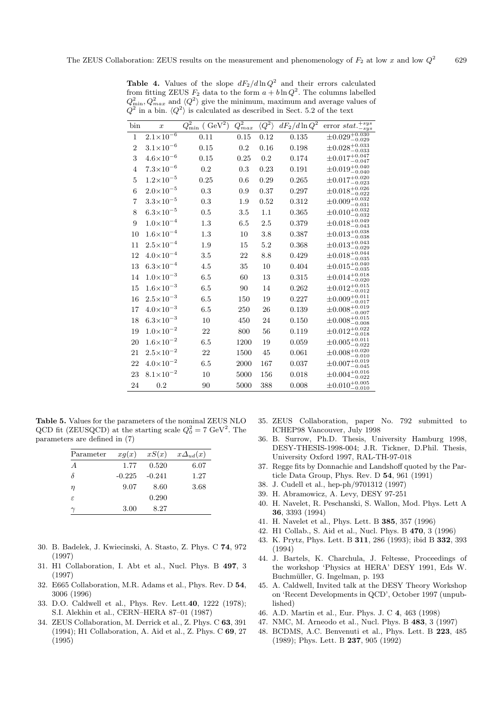|                | In a bin. $Q / B$ is calculated as described in Sect. 5.2 or the text |                                         |                        |                      |                           |                                               |
|----------------|-----------------------------------------------------------------------|-----------------------------------------|------------------------|----------------------|---------------------------|-----------------------------------------------|
| bin            | $\boldsymbol{x}$                                                      | $\overline{Q}_{\rm min}^2$<br>$(GeV^2)$ | $\overline{Q_{max}^2}$ | $\langle Q^2\rangle$ | $dF_2/d\ln\overline{Q^2}$ | $+sys$<br>error stat.<br>$-sys$               |
| $\mathbf{1}$   | $2.1 \times 10^{-6}$                                                  | 0.11                                    | 0.15                   | 0.12                 | 0.135                     | $\pm 0.029^{+0.030}_{-0.029}$                 |
| $\overline{2}$ | $3.1 \times 10^{-6}$                                                  | 0.15                                    | $0.2\,$                | 0.16                 | 0.198                     | $\pm 0.028^{+0.033}_{-0.033}$                 |
| 3              | $4.6 \times 10^{-6}$                                                  | 0.15                                    | 0.25                   | 0.2                  | 0.174                     | $\pm 0.017^{+0.047}_{-0.047}$                 |
| $\overline{4}$ | $7.3 \times 10^{-6}$                                                  | 0.2                                     | 0.3                    | 0.23                 | 0.191                     | $\pm 0.019^{+0.040}_{-0.040}$                 |
| 5              | $1.2 \times 10^{-5}$                                                  | 0.25                                    | 0.6                    | 0.29                 | 0.265                     | $\pm 0.017^{+0.020}_{-0.022}$<br>$-0.023$     |
| 6              | $2.0 \times 10^{-5}$                                                  | 0.3                                     | 0.9                    | 0.37                 | 0.297                     | $\pm 0.018^{+0.026}_{-0.022}$                 |
| 7              | $3.3 \times 10^{-5}$                                                  | 0.3                                     | 1.9                    | 0.52                 | 0.312                     | $\pm 0.009^{+0.032}_{-0.031}$                 |
| 8              | $6.3 \times 10^{-5}$                                                  | 0.5                                     | 3.5                    | 1.1                  | 0.365                     | $\pm 0.010^{+0.032}_{-0.032}$                 |
| 9              | $1.0\times10^{-4}$                                                    | 1.3                                     | 6.5                    | 2.5                  | 0.379                     | $\pm 0.018^{+0.049}_{-0.043}$                 |
| 10             | $1.6 \times 10^{-4}$                                                  | 1.3                                     | 10                     | 3.8                  | 0.387                     | $\pm 0.013^{+0.038}_{-0.038}$                 |
| 11             | $2.5 \times 10^{-4}$                                                  | 1.9                                     | 15                     | 5.2                  | 0.368                     | $\pm 0.013^{+0.043}_{-0.029}$                 |
| 12             | $4.0 \times 10^{-4}$                                                  | 3.5                                     | 22                     | 8.8                  | 0.429                     | $\pm 0.018^{+0.044}_{-0.035}$                 |
| 13             | $6.3 \times 10^{-4}$                                                  | 4.5                                     | 35                     | 10                   | 0.404                     | $\pm 0.015^{+0.040}_{-0.035}$                 |
| 14             | $1.0\times10^{-3}$                                                    | 6.5                                     | 60                     | 13                   | 0.315                     | $\pm 0.014^{+0.018}_{-0.022}$                 |
| 15             | $1.6 \times 10^{-3}$                                                  | 6.5                                     | 90                     | 14                   | 0.262                     | $\pm 0.012^{+0.015}_{-0.012}$                 |
| 16             | $2.5 \times 10^{-3}$                                                  | 6.5                                     | 150                    | 19                   | 0.227                     | $\pm 0.009^{+0.011}_{-0.017}$                 |
| 17             | $4.0 \times 10^{-3}$                                                  | 6.5                                     | 250                    | 26                   | 0.139                     | $\pm 0.008^{+0.019}_{-0.007}$                 |
| 18             | $6.3 \times 10^{-3}$                                                  | 10                                      | 450                    | 24                   | 0.150                     | $\pm 0.008^{+0.015}_{-0.008}$                 |
| 19             | $1.0 \times 10^{-2}$                                                  | 22                                      | 800                    | 56                   | 0.119                     | $\pm 0.012^{+0.022}_{-0.018}$                 |
| 20             | $1.6 \times 10^{-2}$                                                  | 6.5                                     | 1200                   | 19                   | 0.059                     | $\pm 0.005^{+0.011}_{-0.022}$                 |
| 21             | $2.5 \times 10^{-2}$                                                  | 22                                      | 1500                   | 45                   | 0.061                     | $\pm 0.008^{+0.020}_{-0.010}$                 |
| 22             | $4.0 \times 10^{-2}$                                                  | 6.5                                     | 2000                   | 167                  | 0.037                     | $\pm 0.007^{+0.019}_{-0.017}$<br>$^{ -0.045}$ |
| 23             | $8.1 \times 10^{-2}$                                                  | 10                                      | 5000                   | 156                  | 0.018                     | $\pm 0.004^{+0.016}_{-0.022}$<br>$-0.022$     |
| 24             | 0.2                                                                   | 90                                      | 5000                   | 388                  | 0.008                     | $\pm 0.010^{+0.005}_{-0.010}$                 |

**Table 4.** Values of the slope  $dF_2/d\ln Q^2$  and their errors calculated from fitting ZEUS  $F_2$  data to the form  $a + b \ln Q^2$ . The columns labelled  $Q_{\text{min}}^2, Q_{\text{max}}^2$  and  $\langle Q^2 \rangle$  give the minimum, maximum and average values of a bin.  $\langle Q^2 \rangle$  is calculated as described in Sect. 5.2 of the text.

**Table 5.** Values for the parameters of the nominal ZEUS NLO QCD fit (ZEUSQCD) at the starting scale  $Q_0^2 = 7 \text{ GeV}^2$ . The parameters are defined in (7)

| Parameter      | xq(x)    | xS(x)    | $x\Delta_{ud}(x)$ |
|----------------|----------|----------|-------------------|
| $\overline{A}$ | 1.77     | 0.520    | 6.07              |
| $\delta$       | $-0.225$ | $-0.241$ | 1.27              |
| $\eta$         | 9.07     | 8.60     | 3.68              |
| $\epsilon$     |          | 0.290    |                   |
|                | 3.00     | 8.27     |                   |

- 30. B. Badelek, J. Kwiecinski, A. Stasto, Z. Phys. C **74**, 972 (1997)
- 31. H1 Collaboration, I. Abt et al., Nucl. Phys. B **497**, 3 (1997)
- 32. E665 Collaboration, M.R. Adams et al., Phys. Rev. D **54**, 3006 (1996)
- 33. D.O. Caldwell et al., Phys. Rev. Lett.**40**, 1222 (1978); S.I. Alekhin et al., CERN–HERA 87–01 (1987)
- 34. ZEUS Collaboration, M. Derrick et al., Z. Phys. C **63**, 391 (1994); H1 Collaboration, A. Aid et al., Z. Phys. C **69**, 27 (1995)
- 35. ZEUS Collaboration, paper No. 792 submitted to ICHEP98 Vancouver, July 1998
- 36. B. Surrow, Ph.D. Thesis, University Hamburg 1998, DESY-THESIS-1998-004; J.R. Tickner, D.Phil. Thesis, University Oxford 1997, RAL-TH-97-018
- 37. Regge fits by Donnachie and Landshoff quoted by the Particle Data Group, Phys. Rev. D **54**, 961 (1991)
- 38. J. Cudell et al., hep-ph/9701312 (1997)
- 39. H. Abramowicz, A. Levy, DESY 97-251
- 40. H. Navelet, R. Peschanski, S. Wallon, Mod. Phys. Lett A **36**, 3393 (1994)
- 41. H. Navelet et al., Phys. Lett. B **385**, 357 (1996)
- 42. H1 Collab., S. Aid et al., Nucl. Phys. B **470**, 3 (1996)
- 43. K. Prytz, Phys. Lett. B **311**, 286 (1993); ibid B **332**, 393 (1994)
- 44. J. Bartels, K. Charchula, J. Feltesse, Proceedings of the workshop 'Physics at HERA' DESY 1991, Eds W. Buchmüller, G. Ingelman, p. 193
- 45. A. Caldwell, Invited talk at the DESY Theory Workshop on 'Recent Developments in QCD', October 1997 (unpublished)
- 46. A.D. Martin et al., Eur. Phys. J. C **4**, 463 (1998)
- 47. NMC, M. Arneodo et al., Nucl. Phys. B **483**, 3 (1997)
- 48. BCDMS, A.C. Benvenuti et al., Phys. Lett. B **223**, 485 (1989); Phys. Lett. B **237**, 905 (1992)